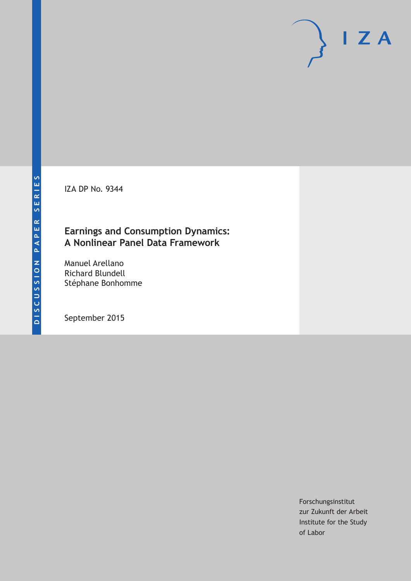IZA DP No. 9344

### **Earnings and Consumption Dynamics: A Nonlinear Panel Data Framework**

Manuel Arellano Richard Blundell Stéphane Bonhomme

September 2015

Forschungsinstitut zur Zukunft der Arbeit Institute for the Study of Labor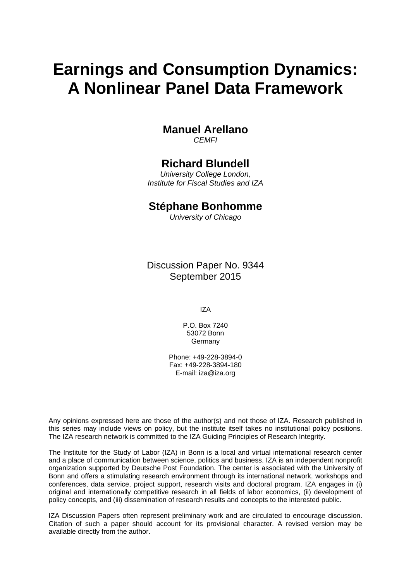# **Earnings and Consumption Dynamics: A Nonlinear Panel Data Framework**

### **Manuel Arellano**

*CEMFI* 

### **Richard Blundell**

*University College London, Institute for Fiscal Studies and IZA* 

### **Stéphane Bonhomme**

*University of Chicago*

Discussion Paper No. 9344 September 2015

IZA

P.O. Box 7240 53072 Bonn Germany

Phone: +49-228-3894-0 Fax: +49-228-3894-180 E-mail: iza@iza.org

Any opinions expressed here are those of the author(s) and not those of IZA. Research published in this series may include views on policy, but the institute itself takes no institutional policy positions. The IZA research network is committed to the IZA Guiding Principles of Research Integrity.

The Institute for the Study of Labor (IZA) in Bonn is a local and virtual international research center and a place of communication between science, politics and business. IZA is an independent nonprofit organization supported by Deutsche Post Foundation. The center is associated with the University of Bonn and offers a stimulating research environment through its international network, workshops and conferences, data service, project support, research visits and doctoral program. IZA engages in (i) original and internationally competitive research in all fields of labor economics, (ii) development of policy concepts, and (iii) dissemination of research results and concepts to the interested public.

IZA Discussion Papers often represent preliminary work and are circulated to encourage discussion. Citation of such a paper should account for its provisional character. A revised version may be available directly from the author.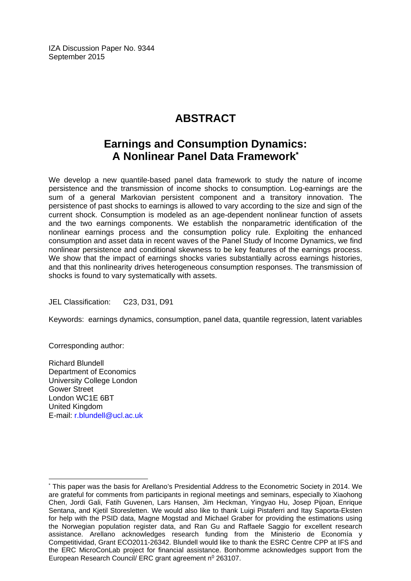IZA Discussion Paper No. 9344 September 2015

# **ABSTRACT**

### **Earnings and Consumption Dynamics: A Nonlinear Panel Data Framework\***

We develop a new quantile-based panel data framework to study the nature of income persistence and the transmission of income shocks to consumption. Log-earnings are the sum of a general Markovian persistent component and a transitory innovation. The persistence of past shocks to earnings is allowed to vary according to the size and sign of the current shock. Consumption is modeled as an age-dependent nonlinear function of assets and the two earnings components. We establish the nonparametric identification of the nonlinear earnings process and the consumption policy rule. Exploiting the enhanced consumption and asset data in recent waves of the Panel Study of Income Dynamics, we find nonlinear persistence and conditional skewness to be key features of the earnings process. We show that the impact of earnings shocks varies substantially across earnings histories, and that this nonlinearity drives heterogeneous consumption responses. The transmission of shocks is found to vary systematically with assets.

JEL Classification: C23, D31, D91

Keywords: earnings dynamics, consumption, panel data, quantile regression, latent variables

Corresponding author:

 $\overline{\phantom{a}}$ 

Richard Blundell Department of Economics University College London Gower Street London WC1E 6BT United Kingdom E-mail: r.blundell@ucl.ac.uk

<sup>\*</sup> This paper was the basis for Arellano's Presidential Address to the Econometric Society in 2014. We are grateful for comments from participants in regional meetings and seminars, especially to Xiaohong Chen, Jordi Gali, Fatih Guvenen, Lars Hansen, Jim Heckman, Yingyao Hu, Josep Pijoan, Enrique Sentana, and Kjetil Storesletten. We would also like to thank Luigi Pistaferri and Itay Saporta-Eksten for help with the PSID data, Magne Mogstad and Michael Graber for providing the estimations using the Norwegian population register data, and Ran Gu and Raffaele Saggio for excellent research assistance. Arellano acknowledges research funding from the Ministerio de Economía y Competitividad, Grant ECO2011-26342. Blundell would like to thank the ESRC Centre CPP at IFS and the ERC MicroConLab project for financial assistance. Bonhomme acknowledges support from the European Research Council/ ERC grant agreement  $n^0$  263107.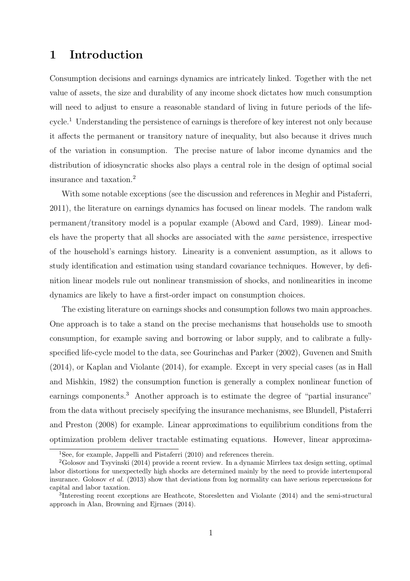### 1 Introduction

Consumption decisions and earnings dynamics are intricately linked. Together with the net value of assets, the size and durability of any income shock dictates how much consumption will need to adjust to ensure a reasonable standard of living in future periods of the lifecycle.<sup>1</sup> Understanding the persistence of earnings is therefore of key interest not only because it affects the permanent or transitory nature of inequality, but also because it drives much of the variation in consumption. The precise nature of labor income dynamics and the distribution of idiosyncratic shocks also plays a central role in the design of optimal social insurance and taxation.<sup>2</sup>

With some notable exceptions (see the discussion and references in Meghir and Pistaferri, 2011), the literature on earnings dynamics has focused on linear models. The random walk permanent/transitory model is a popular example (Abowd and Card, 1989). Linear models have the property that all shocks are associated with the *same* persistence, irrespective of the household's earnings history. Linearity is a convenient assumption, as it allows to study identification and estimation using standard covariance techniques. However, by definition linear models rule out nonlinear transmission of shocks, and nonlinearities in income dynamics are likely to have a first-order impact on consumption choices.

The existing literature on earnings shocks and consumption follows two main approaches. One approach is to take a stand on the precise mechanisms that households use to smooth consumption, for example saving and borrowing or labor supply, and to calibrate a fullyspecified life-cycle model to the data, see Gourinchas and Parker (2002), Guvenen and Smith (2014), or Kaplan and Violante (2014), for example. Except in very special cases (as in Hall and Mishkin, 1982) the consumption function is generally a complex nonlinear function of earnings components.<sup>3</sup> Another approach is to estimate the degree of "partial insurance" from the data without precisely specifying the insurance mechanisms, see Blundell, Pistaferri and Preston (2008) for example. Linear approximations to equilibrium conditions from the optimization problem deliver tractable estimating equations. However, linear approxima-

<sup>&</sup>lt;sup>1</sup>See, for example, Jappelli and Pistaferri (2010) and references therein.

 ${}^{2}$ Golosov and Tsyvinski (2014) provide a recent review. In a dynamic Mirrlees tax design setting, optimal labor distortions for unexpectedly high shocks are determined mainly by the need to provide intertemporal insurance. Golosov *et al.* (2013) show that deviations from log normality can have serious repercussions for capital and labor taxation.

<sup>3</sup> Interesting recent exceptions are Heathcote, Storesletten and Violante (2014) and the semi-structural approach in Alan, Browning and Ejrnaes (2014).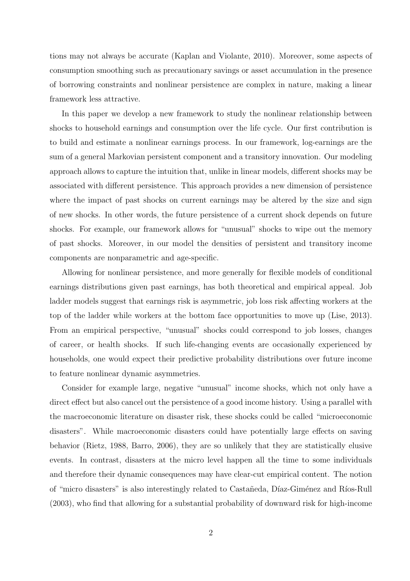tions may not always be accurate (Kaplan and Violante, 2010). Moreover, some aspects of consumption smoothing such as precautionary savings or asset accumulation in the presence of borrowing constraints and nonlinear persistence are complex in nature, making a linear framework less attractive.

In this paper we develop a new framework to study the nonlinear relationship between shocks to household earnings and consumption over the life cycle. Our first contribution is to build and estimate a nonlinear earnings process. In our framework, log-earnings are the sum of a general Markovian persistent component and a transitory innovation. Our modeling approach allows to capture the intuition that, unlike in linear models, different shocks may be associated with different persistence. This approach provides a new dimension of persistence where the impact of past shocks on current earnings may be altered by the size and sign of new shocks. In other words, the future persistence of a current shock depends on future shocks. For example, our framework allows for "unusual" shocks to wipe out the memory of past shocks. Moreover, in our model the densities of persistent and transitory income components are nonparametric and age-specific.

Allowing for nonlinear persistence, and more generally for flexible models of conditional earnings distributions given past earnings, has both theoretical and empirical appeal. Job ladder models suggest that earnings risk is asymmetric, job loss risk affecting workers at the top of the ladder while workers at the bottom face opportunities to move up (Lise, 2013). From an empirical perspective, "unusual" shocks could correspond to job losses, changes of career, or health shocks. If such life-changing events are occasionally experienced by households, one would expect their predictive probability distributions over future income to feature nonlinear dynamic asymmetries.

Consider for example large, negative "unusual" income shocks, which not only have a direct effect but also cancel out the persistence of a good income history. Using a parallel with the macroeconomic literature on disaster risk, these shocks could be called "microeconomic disasters". While macroeconomic disasters could have potentially large effects on saving behavior (Rietz, 1988, Barro, 2006), they are so unlikely that they are statistically elusive events. In contrast, disasters at the micro level happen all the time to some individuals and therefore their dynamic consequences may have clear-cut empirical content. The notion of "micro disasters" is also interestingly related to Castañeda, Díaz-Giménez and Ríos-Rull (2003), who find that allowing for a substantial probability of downward risk for high-income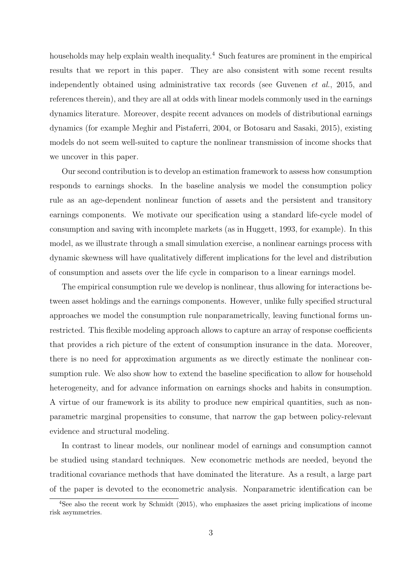households may help explain wealth inequality.<sup>4</sup> Such features are prominent in the empirical results that we report in this paper. They are also consistent with some recent results independently obtained using administrative tax records (see Guvenen *et al.*, 2015, and references therein), and they are all at odds with linear models commonly used in the earnings dynamics literature. Moreover, despite recent advances on models of distributional earnings dynamics (for example Meghir and Pistaferri, 2004, or Botosaru and Sasaki, 2015), existing models do not seem well-suited to capture the nonlinear transmission of income shocks that we uncover in this paper.

Our second contribution is to develop an estimation framework to assess how consumption responds to earnings shocks. In the baseline analysis we model the consumption policy rule as an age-dependent nonlinear function of assets and the persistent and transitory earnings components. We motivate our specification using a standard life-cycle model of consumption and saving with incomplete markets (as in Huggett, 1993, for example). In this model, as we illustrate through a small simulation exercise, a nonlinear earnings process with dynamic skewness will have qualitatively different implications for the level and distribution of consumption and assets over the life cycle in comparison to a linear earnings model.

The empirical consumption rule we develop is nonlinear, thus allowing for interactions between asset holdings and the earnings components. However, unlike fully specified structural approaches we model the consumption rule nonparametrically, leaving functional forms unrestricted. This flexible modeling approach allows to capture an array of response coefficients that provides a rich picture of the extent of consumption insurance in the data. Moreover, there is no need for approximation arguments as we directly estimate the nonlinear consumption rule. We also show how to extend the baseline specification to allow for household heterogeneity, and for advance information on earnings shocks and habits in consumption. A virtue of our framework is its ability to produce new empirical quantities, such as nonparametric marginal propensities to consume, that narrow the gap between policy-relevant evidence and structural modeling.

In contrast to linear models, our nonlinear model of earnings and consumption cannot be studied using standard techniques. New econometric methods are needed, beyond the traditional covariance methods that have dominated the literature. As a result, a large part of the paper is devoted to the econometric analysis. Nonparametric identification can be

<sup>&</sup>lt;sup>4</sup>See also the recent work by Schmidt (2015), who emphasizes the asset pricing implications of income risk asymmetries.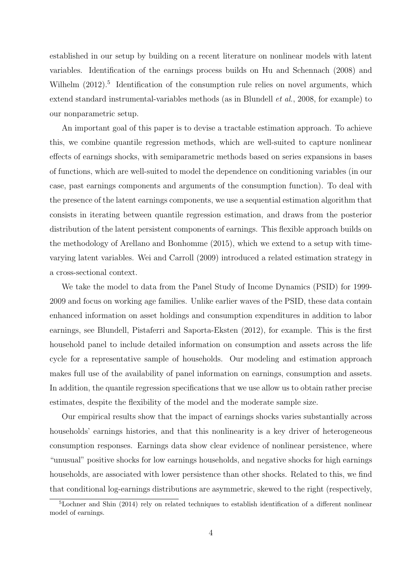established in our setup by building on a recent literature on nonlinear models with latent variables. Identification of the earnings process builds on Hu and Schennach (2008) and Wilhelm  $(2012)$ <sup>5</sup> Identification of the consumption rule relies on novel arguments, which extend standard instrumental-variables methods (as in Blundell *et al.*, 2008, for example) to our nonparametric setup.

An important goal of this paper is to devise a tractable estimation approach. To achieve this, we combine quantile regression methods, which are well-suited to capture nonlinear effects of earnings shocks, with semiparametric methods based on series expansions in bases of functions, which are well-suited to model the dependence on conditioning variables (in our case, past earnings components and arguments of the consumption function). To deal with the presence of the latent earnings components, we use a sequential estimation algorithm that consists in iterating between quantile regression estimation, and draws from the posterior distribution of the latent persistent components of earnings. This flexible approach builds on the methodology of Arellano and Bonhomme (2015), which we extend to a setup with timevarying latent variables. Wei and Carroll (2009) introduced a related estimation strategy in a cross-sectional context.

We take the model to data from the Panel Study of Income Dynamics (PSID) for 1999- 2009 and focus on working age families. Unlike earlier waves of the PSID, these data contain enhanced information on asset holdings and consumption expenditures in addition to labor earnings, see Blundell, Pistaferri and Saporta-Eksten (2012), for example. This is the first household panel to include detailed information on consumption and assets across the life cycle for a representative sample of households. Our modeling and estimation approach makes full use of the availability of panel information on earnings, consumption and assets. In addition, the quantile regression specifications that we use allow us to obtain rather precise estimates, despite the flexibility of the model and the moderate sample size.

Our empirical results show that the impact of earnings shocks varies substantially across households' earnings histories, and that this nonlinearity is a key driver of heterogeneous consumption responses. Earnings data show clear evidence of nonlinear persistence, where "unusual" positive shocks for low earnings households, and negative shocks for high earnings households, are associated with lower persistence than other shocks. Related to this, we find that conditional log-earnings distributions are asymmetric, skewed to the right (respectively,

<sup>5</sup>Lochner and Shin (2014) rely on related techniques to establish identification of a different nonlinear model of earnings.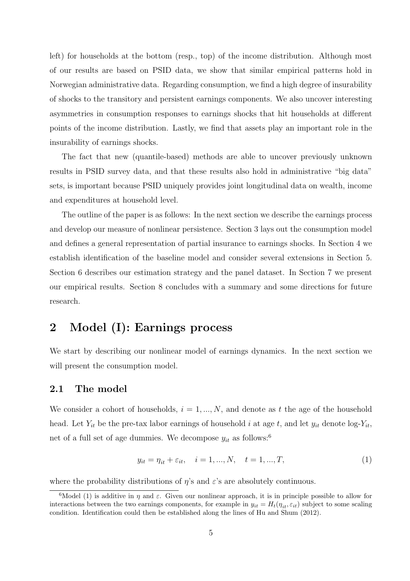left) for households at the bottom (resp., top) of the income distribution. Although most of our results are based on PSID data, we show that similar empirical patterns hold in Norwegian administrative data. Regarding consumption, we find a high degree of insurability of shocks to the transitory and persistent earnings components. We also uncover interesting asymmetries in consumption responses to earnings shocks that hit households at different points of the income distribution. Lastly, we find that assets play an important role in the insurability of earnings shocks.

The fact that new (quantile-based) methods are able to uncover previously unknown results in PSID survey data, and that these results also hold in administrative "big data" sets, is important because PSID uniquely provides joint longitudinal data on wealth, income and expenditures at household level.

The outline of the paper is as follows: In the next section we describe the earnings process and develop our measure of nonlinear persistence. Section 3 lays out the consumption model and defines a general representation of partial insurance to earnings shocks. In Section 4 we establish identification of the baseline model and consider several extensions in Section 5. Section 6 describes our estimation strategy and the panel dataset. In Section 7 we present our empirical results. Section 8 concludes with a summary and some directions for future research.

### 2 Model (I): Earnings process

We start by describing our nonlinear model of earnings dynamics. In the next section we will present the consumption model.

#### 2.1 The model

We consider a cohort of households,  $i = 1, ..., N$ , and denote as t the age of the household head. Let  $Y_{it}$  be the pre-tax labor earnings of household i at age t, and let  $y_{it}$  denote log- $Y_{it}$ , net of a full set of age dummies. We decompose  $y_{it}$  as follows:<sup>6</sup>

$$
y_{it} = \eta_{it} + \varepsilon_{it}, \quad i = 1, ..., N, \quad t = 1, ..., T,
$$
 (1)

where the probability distributions of  $\eta$ 's and  $\varepsilon$ 's are absolutely continuous.

<sup>&</sup>lt;sup>6</sup>Model (1) is additive in  $\eta$  and  $\varepsilon$ . Given our nonlinear approach, it is in principle possible to allow for interactions between the two earnings components, for example in  $y_{it} = H_t(\eta_{it}, \varepsilon_{it})$  subject to some scaling condition. Identification could then be established along the lines of Hu and Shum (2012).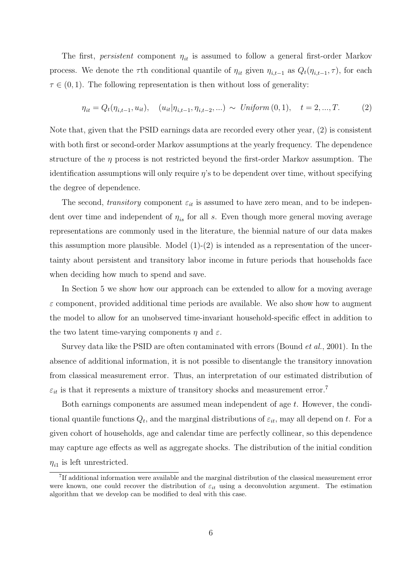The first, *persistent* component  $\eta_{it}$  is assumed to follow a general first-order Markov process. We denote the  $\tau$ th conditional quantile of  $\eta_{it}$  given  $\eta_{i,t-1}$  as  $Q_t(\eta_{i,t-1}, \tau)$ , for each  $\tau \in (0, 1)$ . The following representation is then without loss of generality:

$$
\eta_{it} = Q_t(\eta_{i,t-1}, u_{it}), \quad (u_{it}|\eta_{i,t-1}, \eta_{i,t-2}, \ldots) \sim Uniform(0,1), \quad t = 2, ..., T. \tag{2}
$$

Note that, given that the PSID earnings data are recorded every other year, (2) is consistent with both first or second-order Markov assumptions at the yearly frequency. The dependence structure of the  $\eta$  process is not restricted beyond the first-order Markov assumption. The identification assumptions will only require  $\eta$ 's to be dependent over time, without specifying the degree of dependence.

The second, *transitory* component  $\varepsilon_{it}$  is assumed to have zero mean, and to be independent over time and independent of  $\eta_{is}$  for all s. Even though more general moving average representations are commonly used in the literature, the biennial nature of our data makes this assumption more plausible. Model  $(1)-(2)$  is intended as a representation of the uncertainty about persistent and transitory labor income in future periods that households face when deciding how much to spend and save.

In Section 5 we show how our approach can be extended to allow for a moving average  $\varepsilon$  component, provided additional time periods are available. We also show how to augment the model to allow for an unobserved time-invariant household-specific effect in addition to the two latent time-varying components  $\eta$  and  $\varepsilon$ .

Survey data like the PSID are often contaminated with errors (Bound *et al.*, 2001). In the absence of additional information, it is not possible to disentangle the transitory innovation from classical measurement error. Thus, an interpretation of our estimated distribution of  $\varepsilon_{it}$  is that it represents a mixture of transitory shocks and measurement error.<sup>7</sup>

Both earnings components are assumed mean independent of age t. However, the conditional quantile functions  $Q_t$ , and the marginal distributions of  $\varepsilon_{it}$ , may all depend on t. For a given cohort of households, age and calendar time are perfectly collinear, so this dependence may capture age effects as well as aggregate shocks. The distribution of the initial condition  $\eta_{i1}$  is left unrestricted.

<sup>7</sup> If additional information were available and the marginal distribution of the classical measurement error were known, one could recover the distribution of  $\varepsilon_{it}$  using a deconvolution argument. The estimation algorithm that we develop can be modified to deal with this case.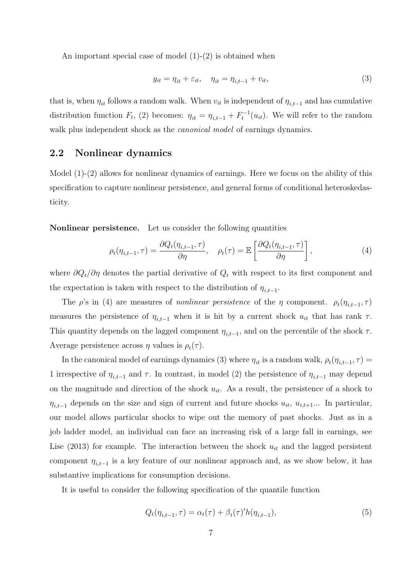An important special case of model  $(1)-(2)$  is obtained when

$$
y_{it} = \eta_{it} + \varepsilon_{it}, \quad \eta_{it} = \eta_{i,t-1} + v_{it}, \tag{3}
$$

that is, when  $\eta_{it}$  follows a random walk. When  $v_{it}$  is independent of  $\eta_{i,t-1}$  and has cumulative distribution function  $F_t$ , (2) becomes:  $\eta_{it} = \eta_{i,t-1} + F_t^{-1}(u_{it})$ . We will refer to the random walk plus independent shock as the *canonical model* of earnings dynamics.

#### 2.2 Nonlinear dynamics

Model (1)-(2) allows for nonlinear dynamics of earnings. Here we focus on the ability of this specification to capture nonlinear persistence, and general forms of conditional heteroskedasticity.

Nonlinear persistence. Let us consider the following quantities

$$
\rho_t(\eta_{i,t-1}, \tau) = \frac{\partial Q_t(\eta_{i,t-1}, \tau)}{\partial \eta}, \quad \rho_t(\tau) = \mathbb{E}\left[\frac{\partial Q_t(\eta_{i,t-1}, \tau)}{\partial \eta}\right],
$$
\n(4)

where  $\partial Q_t/\partial \eta$  denotes the partial derivative of  $Q_t$  with respect to its first component and the expectation is taken with respect to the distribution of  $\eta_{i,t-1}$ .

The  $\rho$ 's in (4) are measures of *nonlinear persistence* of the  $\eta$  component.  $\rho_t(\eta_{i,t-1}, \tau)$ measures the persistence of  $\eta_{i,t-1}$  when it is hit by a current shock  $u_{it}$  that has rank  $\tau$ . This quantity depends on the lagged component  $\eta_{i,t-1}$ , and on the percentile of the shock  $\tau$ . Average persistence across  $\eta$  values is  $\rho_t(\tau)$ .

In the canonical model of earnings dynamics (3) where  $\eta_{it}$  is a random walk,  $\rho_t(\eta_{i,t-1}, \tau) =$ 1 irrespective of  $\eta_{i,t-1}$  and  $\tau$ . In contrast, in model (2) the persistence of  $\eta_{i,t-1}$  may depend on the magnitude and direction of the shock  $u_{it}$ . As a result, the persistence of a shock to  $\eta_{i,t-1}$  depends on the size and sign of current and future shocks  $u_{it}$ ,  $u_{i,t+1}$ ... In particular, our model allows particular shocks to wipe out the memory of past shocks. Just as in a job ladder model, an individual can face an increasing risk of a large fall in earnings, see Lise (2013) for example. The interaction between the shock  $u_{it}$  and the lagged persistent component  $\eta_{i,t-1}$  is a key feature of our nonlinear approach and, as we show below, it has substantive implications for consumption decisions.

It is useful to consider the following specification of the quantile function

$$
Q_t(\eta_{i,t-1},\tau) = \alpha_t(\tau) + \beta_t(\tau)'h(\eta_{i,t-1}),\tag{5}
$$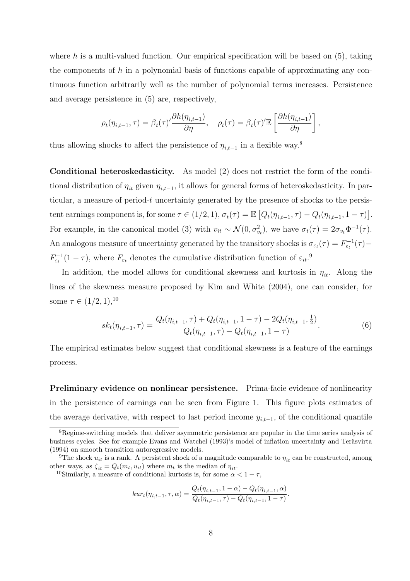where h is a multi-valued function. Our empirical specification will be based on  $(5)$ , taking the components of  $h$  in a polynomial basis of functions capable of approximating any continuous function arbitrarily well as the number of polynomial terms increases. Persistence and average persistence in (5) are, respectively,

$$
\rho_t(\eta_{i,t-1}, \tau) = \beta_t(\tau)' \frac{\partial h(\eta_{i,t-1})}{\partial \eta}, \quad \rho_t(\tau) = \beta_t(\tau)' \mathbb{E}\left[\frac{\partial h(\eta_{i,t-1})}{\partial \eta}\right],
$$

thus allowing shocks to affect the persistence of  $\eta_{i,t-1}$  in a flexible way.<sup>8</sup>

Conditional heteroskedasticity. As model (2) does not restrict the form of the conditional distribution of  $\eta_{it}$  given  $\eta_{i,t-1}$ , it allows for general forms of heteroskedasticity. In particular, a measure of period-t uncertainty generated by the presence of shocks to the persistent earnings component is, for some  $\tau \in (1/2, 1), \sigma_t(\tau) = \mathbb{E}\left[Q_t(\eta_{i,t-1}, \tau) - Q_t(\eta_{i,t-1}, 1 - \tau)\right]$ . For example, in the canonical model (3) with  $v_{it} \sim \mathcal{N}(0, \sigma_{v_t}^2)$ , we have  $\sigma_t(\tau) = 2\sigma_{v_t} \Phi^{-1}(\tau)$ . An analogous measure of uncertainty generated by the transitory shocks is  $\sigma_{\varepsilon_t}(\tau) = F_{\varepsilon_t}^{-1}(\tau) F_{\varepsilon_t}^{-1}(1-\tau)$ , where  $F_{\varepsilon_t}$  denotes the cumulative distribution function of  $\varepsilon_{it}$ .

In addition, the model allows for conditional skewness and kurtosis in  $\eta_{it}$ . Along the lines of the skewness measure proposed by Kim and White (2004), one can consider, for some  $\tau \in (1/2, 1),$ <sup>10</sup>

$$
sk_t(\eta_{i,t-1},\tau) = \frac{Q_t(\eta_{i,t-1},\tau) + Q_t(\eta_{i,t-1}, 1-\tau) - 2Q_t(\eta_{i,t-1}, \frac{1}{2})}{Q_t(\eta_{i,t-1},\tau) - Q_t(\eta_{i,t-1}, 1-\tau)}.
$$
(6)

The empirical estimates below suggest that conditional skewness is a feature of the earnings process.

Preliminary evidence on nonlinear persistence. Prima-facie evidence of nonlinearity in the persistence of earnings can be seen from Figure 1. This figure plots estimates of the average derivative, with respect to last period income  $y_{i,t-1}$ , of the conditional quantile

$$
kur_t(\eta_{i,t-1}, \tau, \alpha) = \frac{Q_t(\eta_{i,t-1}, 1 - \alpha) - Q_t(\eta_{i,t-1}, \alpha)}{Q_t(\eta_{i,t-1}, \tau) - Q_t(\eta_{i,t-1}, 1 - \tau)}.
$$

<sup>&</sup>lt;sup>8</sup>Regime-switching models that deliver asymmetric persistence are popular in the time series analysis of business cycles. See for example Evans and Watchel (1993)'s model of inflation uncertainty and Teräsvirta (1994) on smooth transition autoregressive models.

<sup>&</sup>lt;sup>9</sup>The shock  $u_{it}$  is a rank. A persistent shock of a magnitude comparable to  $\eta_{it}$  can be constructed, among other ways, as  $\zeta_{it} = Q_t(m_t, u_{it})$  where  $m_t$  is the median of  $\eta_{it}$ .

<sup>&</sup>lt;sup>10</sup>Similarly, a measure of conditional kurtosis is, for some  $\alpha < 1 - \tau$ ,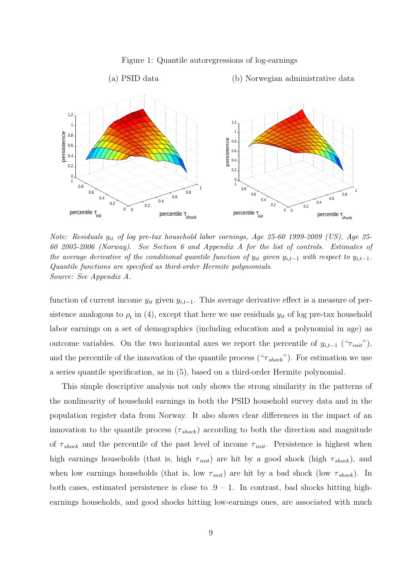

#### Figure 1: Quantile autoregressions of log-earnings

Note: Residuals  $y_{it}$  of log pre-tax household labor earnings, Age 25-60 1999-2009 (US), Age 25-60 2005-2006 (Norway). See Section 6 and Appendix A for the list of controls. Estimates of the average derivative of the conditional quantile function of  $y_{it}$  given  $y_{i,t-1}$  with respect to  $y_{i,t-1}$ . Quantile functions are specified as third-order Hermite polynomials. Source: See Appendix A.

function of current income  $y_{it}$  given  $y_{i,t-1}$ . This average derivative effect is a measure of persistence analogous to  $\rho_t$  in (4), except that here we use residuals  $y_{it}$  of log pre-tax household labor earnings on a set of demographics (including education and a polynomial in age) as outcome variables. On the two horizontal axes we report the percentile of  $y_{i,t-1}$  (" $\tau_{init}$ "), and the percentile of the innovation of the quantile process (" $\tau_{shock}$ "). For estimation we use a series quantile specification, as in (5), based on a third-order Hermite polynomial.

This simple descriptive analysis not only shows the strong similarity in the patterns of the nonlinearity of household earnings in both the PSID household survey data and in the population register data from Norway. It also shows clear differences in the impact of an innovation to the quantile process  $(\tau_{shock})$  according to both the direction and magnitude of  $\tau_{shock}$  and the percentile of the past level of income  $\tau_{init}$ . Persistence is highest when high earnings households (that is, high  $\tau_{init}$ ) are hit by a good shock (high  $\tau_{shock}$ ), and when low earnings households (that is, low  $\tau_{init}$ ) are hit by a bad shock (low  $\tau_{shock}$ ). In both cases, estimated persistence is close to  $.9 - 1$ . In contrast, bad shocks hitting highearnings households, and good shocks hitting low-earnings ones, are associated with much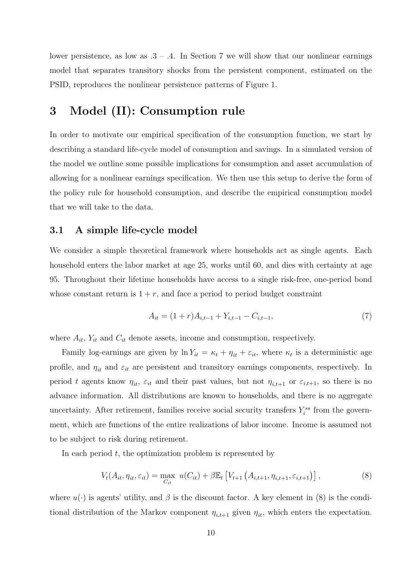lower persistence, as low as  $.3 - .4$ . In Section 7 we will show that our nonlinear earnings model that separates transitory shocks from the persistent component, estimated on the PSID, reproduces the nonlinear persistence patterns of Figure 1.

### 3 Model (II): Consumption rule

In order to motivate our empirical specification of the consumption function, we start by describing a standard life-cycle model of consumption and savings. In a simulated version of the model we outline some possible implications for consumption and asset accumulation of allowing for a nonlinear earnings specification. We then use this setup to derive the form of the policy rule for household consumption, and describe the empirical consumption model that we will take to the data.

#### 3.1 A simple life-cycle model

We consider a simple theoretical framework where households act as single agents. Each household enters the labor market at age 25, works until 60, and dies with certainty at age 95. Throughout their lifetime households have access to a single risk-free, one-period bond whose constant return is  $1 + r$ , and face a period to period budget constraint

$$
A_{it} = (1+r)A_{i,t-1} + Y_{i,t-1} - C_{i,t-1},\tag{7}
$$

where  $A_{it}$ ,  $Y_{it}$  and  $C_{it}$  denote assets, income and consumption, respectively.

Family log-earnings are given by  $\ln Y_{it} = \kappa_t + \eta_{it} + \varepsilon_{it}$ , where  $\kappa_t$  is a deterministic age profile, and  $\eta_{it}$  and  $\varepsilon_{it}$  are persistent and transitory earnings components, respectively. In period t agents know  $\eta_{it}$ ,  $\varepsilon_{it}$  and their past values, but not  $\eta_{i,t+1}$  or  $\varepsilon_{i,t+1}$ , so there is no advance information. All distributions are known to households, and there is no aggregate uncertainty. After retirement, families receive social security transfers  $Y_i^{ss}$  from the government, which are functions of the entire realizations of labor income. Income is assumed not to be subject to risk during retirement.

In each period  $t$ , the optimization problem is represented by

$$
V_t(A_{it}, \eta_{it}, \varepsilon_{it}) = \max_{C_{it}} u(C_{it}) + \beta \mathbb{E}_t \left[ V_{t+1} \left( A_{i,t+1}, \eta_{i,t+1}, \varepsilon_{i,t+1} \right) \right], \tag{8}
$$

where  $u(\cdot)$  is agents' utility, and  $\beta$  is the discount factor. A key element in (8) is the conditional distribution of the Markov component  $\eta_{i,t+1}$  given  $\eta_{it}$ , which enters the expectation.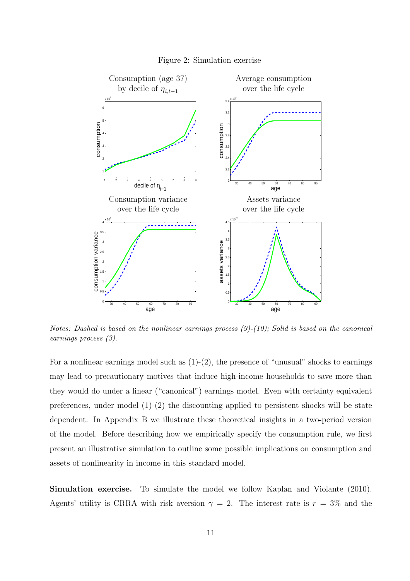

Figure 2: Simulation exercise

Notes: Dashed is based on the nonlinear earnings process  $(9)-(10)$ ; Solid is based on the canonical earnings process (3).

For a nonlinear earnings model such as  $(1)-(2)$ , the presence of "unusual" shocks to earnings may lead to precautionary motives that induce high-income households to save more than they would do under a linear ("canonical") earnings model. Even with certainty equivalent preferences, under model  $(1)-(2)$  the discounting applied to persistent shocks will be state dependent. In Appendix B we illustrate these theoretical insights in a two-period version of the model. Before describing how we empirically specify the consumption rule, we first present an illustrative simulation to outline some possible implications on consumption and assets of nonlinearity in income in this standard model.

Simulation exercise. To simulate the model we follow Kaplan and Violante (2010). Agents' utility is CRRA with risk aversion  $\gamma = 2$ . The interest rate is  $r = 3\%$  and the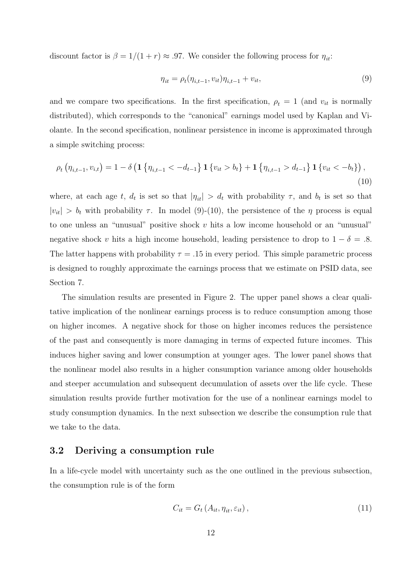discount factor is  $\beta = 1/(1+r) \approx .97$ . We consider the following process for  $\eta_{it}$ :

$$
\eta_{it} = \rho_t(\eta_{i,t-1}, v_{it})\eta_{i,t-1} + v_{it},\tag{9}
$$

and we compare two specifications. In the first specification,  $\rho_t = 1$  (and  $v_{it}$  is normally distributed), which corresponds to the "canonical" earnings model used by Kaplan and Violante. In the second specification, nonlinear persistence in income is approximated through a simple switching process:

$$
\rho_t \left( \eta_{i,t-1}, v_{i,t} \right) = 1 - \delta \left( \mathbf{1} \left\{ \eta_{i,t-1} < -d_{t-1} \right\} \mathbf{1} \left\{ v_{it} > b_t \right\} + \mathbf{1} \left\{ \eta_{i,t-1} > d_{t-1} \right\} \mathbf{1} \left\{ v_{it} < -b_t \right\} \right), \tag{10}
$$

where, at each age t,  $d_t$  is set so that  $|\eta_{it}| > d_t$  with probability  $\tau$ , and  $b_t$  is set so that  $|v_{it}| > b_t$  with probability  $\tau$ . In model (9)-(10), the persistence of the  $\eta$  process is equal to one unless an "unusual" positive shock  $v$  hits a low income household or an "unusual" negative shock v hits a high income household, leading persistence to drop to  $1 - \delta = .8$ . The latter happens with probability  $\tau = .15$  in every period. This simple parametric process is designed to roughly approximate the earnings process that we estimate on PSID data, see Section 7.

The simulation results are presented in Figure 2. The upper panel shows a clear qualitative implication of the nonlinear earnings process is to reduce consumption among those on higher incomes. A negative shock for those on higher incomes reduces the persistence of the past and consequently is more damaging in terms of expected future incomes. This induces higher saving and lower consumption at younger ages. The lower panel shows that the nonlinear model also results in a higher consumption variance among older households and steeper accumulation and subsequent decumulation of assets over the life cycle. These simulation results provide further motivation for the use of a nonlinear earnings model to study consumption dynamics. In the next subsection we describe the consumption rule that we take to the data.

#### 3.2 Deriving a consumption rule

In a life-cycle model with uncertainty such as the one outlined in the previous subsection, the consumption rule is of the form

$$
C_{it} = G_t \left( A_{it}, \eta_{it}, \varepsilon_{it} \right), \tag{11}
$$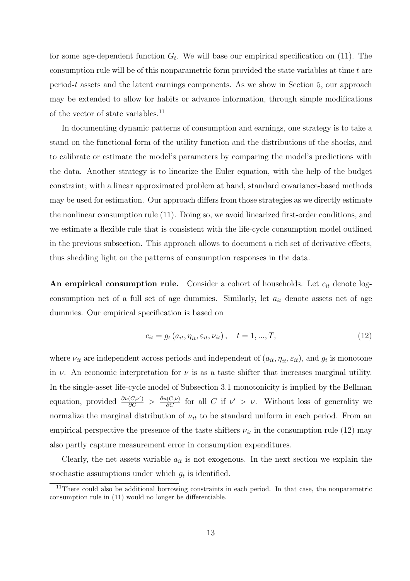for some age-dependent function  $G_t$ . We will base our empirical specification on (11). The consumption rule will be of this nonparametric form provided the state variables at time  $t$  are period-t assets and the latent earnings components. As we show in Section 5, our approach may be extended to allow for habits or advance information, through simple modifications of the vector of state variables.<sup>11</sup>

In documenting dynamic patterns of consumption and earnings, one strategy is to take a stand on the functional form of the utility function and the distributions of the shocks, and to calibrate or estimate the model's parameters by comparing the model's predictions with the data. Another strategy is to linearize the Euler equation, with the help of the budget constraint; with a linear approximated problem at hand, standard covariance-based methods may be used for estimation. Our approach differs from those strategies as we directly estimate the nonlinear consumption rule (11). Doing so, we avoid linearized first-order conditions, and we estimate a flexible rule that is consistent with the life-cycle consumption model outlined in the previous subsection. This approach allows to document a rich set of derivative effects, thus shedding light on the patterns of consumption responses in the data.

An empirical consumption rule. Consider a cohort of households. Let  $c_{it}$  denote logconsumption net of a full set of age dummies. Similarly, let  $a_{it}$  denote assets net of age dummies. Our empirical specification is based on

$$
c_{it} = g_t(a_{it}, \eta_{it}, \varepsilon_{it}, \nu_{it}), \quad t = 1, ..., T,
$$
\n(12)

where  $\nu_{it}$  are independent across periods and independent of  $(a_{it}, \eta_{it}, \varepsilon_{it})$ , and  $g_t$  is monotone in  $\nu$ . An economic interpretation for  $\nu$  is as a taste shifter that increases marginal utility. In the single-asset life-cycle model of Subsection 3.1 monotonicity is implied by the Bellman equation, provided  $\frac{\partial u(C,\nu')}{\partial C} > \frac{\partial u(C,\nu)}{\partial C}$  for all C if  $\nu' > \nu$ . Without loss of generality we normalize the marginal distribution of  $\nu_{it}$  to be standard uniform in each period. From an empirical perspective the presence of the taste shifters  $\nu_{it}$  in the consumption rule (12) may also partly capture measurement error in consumption expenditures.

Clearly, the net assets variable  $a_{it}$  is not exogenous. In the next section we explain the stochastic assumptions under which  $g_t$  is identified.

<sup>&</sup>lt;sup>11</sup>There could also be additional borrowing constraints in each period. In that case, the nonparametric consumption rule in (11) would no longer be differentiable.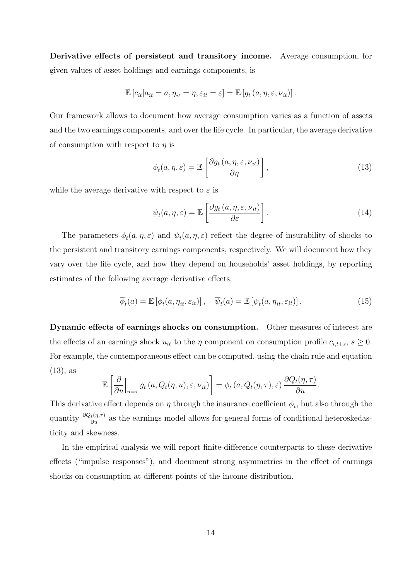Derivative effects of persistent and transitory income. Average consumption, for given values of asset holdings and earnings components, is

$$
\mathbb{E}\left[c_{it}|a_{it}=a,\eta_{it}=\eta,\varepsilon_{it}=\varepsilon\right]=\mathbb{E}\left[g_t\left(a,\eta,\varepsilon,\nu_{it}\right)\right].
$$

Our framework allows to document how average consumption varies as a function of assets and the two earnings components, and over the life cycle. In particular, the average derivative of consumption with respect to  $\eta$  is

$$
\phi_t(a, \eta, \varepsilon) = \mathbb{E}\left[\frac{\partial g_t(a, \eta, \varepsilon, \nu_{it})}{\partial \eta}\right],\tag{13}
$$

while the average derivative with respect to  $\varepsilon$  is

$$
\psi_t(a,\eta,\varepsilon) = \mathbb{E}\left[\frac{\partial g_t(a,\eta,\varepsilon,\nu_{it})}{\partial \varepsilon}\right].
$$
\n(14)

The parameters  $\phi_t(a, \eta, \varepsilon)$  and  $\psi_t(a, \eta, \varepsilon)$  reflect the degree of insurability of shocks to the persistent and transitory earnings components, respectively. We will document how they vary over the life cycle, and how they depend on households' asset holdings, by reporting estimates of the following average derivative effects:

$$
\overline{\phi}_t(a) = \mathbb{E}\left[\phi_t(a, \eta_{it}, \varepsilon_{it})\right], \quad \overline{\psi}_t(a) = \mathbb{E}\left[\psi_t(a, \eta_{it}, \varepsilon_{it})\right]. \tag{15}
$$

Dynamic effects of earnings shocks on consumption. Other measures of interest are the effects of an earnings shock  $u_{it}$  to the  $\eta$  component on consumption profile  $c_{i,t+s}$ ,  $s \geq 0$ . For example, the contemporaneous effect can be computed, using the chain rule and equation (13), as

$$
\mathbb{E}\left[\left.\frac{\partial}{\partial u}\right|_{u=\tau}g_t\left(a,Q_t(\eta,u),\varepsilon,\nu_{it}\right)\right]=\phi_t\left(a,Q_t(\eta,\tau),\varepsilon\right)\frac{\partial Q_t(\eta,\tau)}{\partial u}.
$$

This derivative effect depends on  $\eta$  through the insurance coefficient  $\phi_t$ , but also through the quantity  $\frac{\partial Q_t(\eta,\tau)}{\partial u}$  as the earnings model allows for general forms of conditional heteroskedasticity and skewness.

In the empirical analysis we will report finite-difference counterparts to these derivative effects ("impulse responses"), and document strong asymmetries in the effect of earnings shocks on consumption at different points of the income distribution.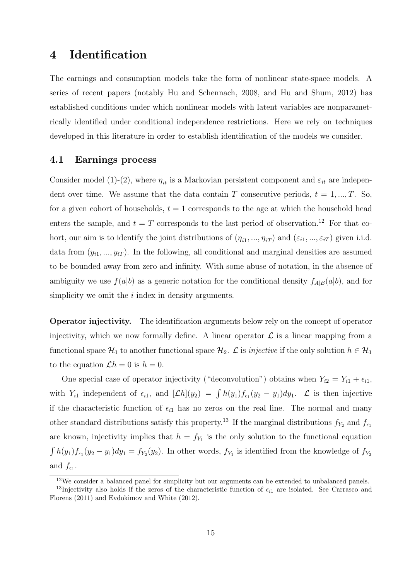### 4 Identification

The earnings and consumption models take the form of nonlinear state-space models. A series of recent papers (notably Hu and Schennach, 2008, and Hu and Shum, 2012) has established conditions under which nonlinear models with latent variables are nonparametrically identified under conditional independence restrictions. Here we rely on techniques developed in this literature in order to establish identification of the models we consider.

#### 4.1 Earnings process

Consider model (1)-(2), where  $\eta_{it}$  is a Markovian persistent component and  $\varepsilon_{it}$  are independent over time. We assume that the data contain T consecutive periods,  $t = 1, ..., T$ . So, for a given cohort of households,  $t = 1$  corresponds to the age at which the household head enters the sample, and  $t = T$  corresponds to the last period of observation.<sup>12</sup> For that cohort, our aim is to identify the joint distributions of  $(\eta_{i1},...,\eta_{iT})$  and  $(\varepsilon_{i1},...,\varepsilon_{iT})$  given i.i.d. data from  $(y_{i1},...,y_{iT})$ . In the following, all conditional and marginal densities are assumed to be bounded away from zero and infinity. With some abuse of notation, in the absence of ambiguity we use  $f(a|b)$  as a generic notation for the conditional density  $f_{A|B}(a|b)$ , and for simplicity we omit the  $i$  index in density arguments.

Operator injectivity. The identification arguments below rely on the concept of operator injectivity, which we now formally define. A linear operator  $\mathcal L$  is a linear mapping from a functional space  $\mathcal{H}_1$  to another functional space  $\mathcal{H}_2$ .  $\mathcal L$  is *injective* if the only solution  $h \in \mathcal{H}_1$ to the equation  $\mathcal{L}h = 0$  is  $h = 0$ .

One special case of operator injectivity ("deconvolution") obtains when  $Y_{i2} = Y_{i1} + \epsilon_{i1}$ , with  $Y_{i1}$  independent of  $\epsilon_{i1}$ , and  $[\mathcal{L}h](y_2) = \int h(y_1)f_{\epsilon_1}(y_2 - y_1)dy_1$ .  $\mathcal{L}$  is then injective if the characteristic function of  $\epsilon_{i1}$  has no zeros on the real line. The normal and many other standard distributions satisfy this property.<sup>13</sup> If the marginal distributions  $f_{Y_2}$  and  $f_{\epsilon_1}$ are known, injectivity implies that  $h = f_{Y_1}$  is the only solution to the functional equation  $\int h(y_1) f_{\epsilon_1}(y_2 - y_1) dy_1 = f_{Y_2}(y_2)$ . In other words,  $f_{Y_1}$  is identified from the knowledge of  $f_{Y_2}$ and  $f_{\epsilon_1}$ .

<sup>12</sup>We consider a balanced panel for simplicity but our arguments can be extended to unbalanced panels.

<sup>&</sup>lt;sup>13</sup>Injectivity also holds if the zeros of the characteristic function of  $\epsilon_{i1}$  are isolated. See Carrasco and Florens (2011) and Evdokimov and White (2012).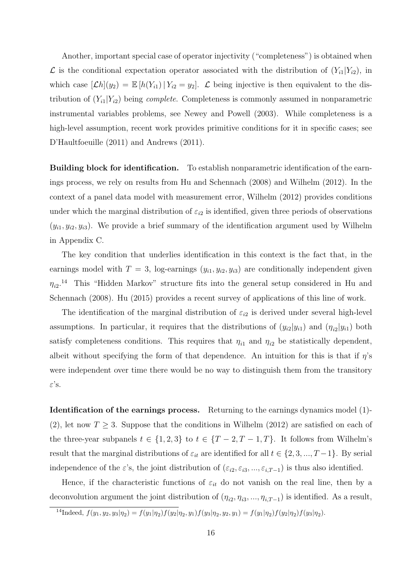Another, important special case of operator injectivity ("completeness") is obtained when  $\mathcal L$  is the conditional expectation operator associated with the distribution of  $(Y_{i1}|Y_{i2})$ , in which case  $[\mathcal{L}h](y_2) = \mathbb{E}[h(Y_{i1}) | Y_{i2} = y_2].$   $\mathcal{L}$  being injective is then equivalent to the distribution of  $(Y_{i1}|Y_{i2})$  being *complete*. Completeness is commonly assumed in nonparametric instrumental variables problems, see Newey and Powell (2003). While completeness is a high-level assumption, recent work provides primitive conditions for it in specific cases; see D'Haultfoeuille (2011) and Andrews (2011).

Building block for identification. To establish nonparametric identification of the earnings process, we rely on results from Hu and Schennach (2008) and Wilhelm (2012). In the context of a panel data model with measurement error, Wilhelm (2012) provides conditions under which the marginal distribution of  $\varepsilon_{i2}$  is identified, given three periods of observations  $(y_{i1}, y_{i2}, y_{i3})$ . We provide a brief summary of the identification argument used by Wilhelm in Appendix C.

The key condition that underlies identification in this context is the fact that, in the earnings model with  $T = 3$ , log-earnings  $(y_{i1}, y_{i2}, y_{i3})$  are conditionally independent given  $\eta_{i2}$ <sup>14</sup> This "Hidden Markov" structure fits into the general setup considered in Hu and Schennach (2008). Hu (2015) provides a recent survey of applications of this line of work.

The identification of the marginal distribution of  $\varepsilon_{i2}$  is derived under several high-level assumptions. In particular, it requires that the distributions of  $(y_{i2}|y_{i1})$  and  $(\eta_{i2}|y_{i1})$  both satisfy completeness conditions. This requires that  $\eta_{i1}$  and  $\eta_{i2}$  be statistically dependent, albeit without specifying the form of that dependence. An intuition for this is that if  $\eta$ 's were independent over time there would be no way to distinguish them from the transitory ε's.

Identification of the earnings process. Returning to the earnings dynamics model (1)- (2), let now  $T \geq 3$ . Suppose that the conditions in Wilhelm (2012) are satisfied on each of the three-year subpanels  $t \in \{1, 2, 3\}$  to  $t \in \{T - 2, T - 1, T\}$ . It follows from Wilhelm's result that the marginal distributions of  $\varepsilon_{it}$  are identified for all  $t \in \{2, 3, ..., T-1\}$ . By serial independence of the  $\varepsilon$ 's, the joint distribution of  $(\varepsilon_{i2}, \varepsilon_{i3}, ..., \varepsilon_{i,T-1})$  is thus also identified.

Hence, if the characteristic functions of  $\varepsilon_{it}$  do not vanish on the real line, then by a deconvolution argument the joint distribution of  $(\eta_{i2}, \eta_{i3}, ..., \eta_{i,T-1})$  is identified. As a result,

<sup>&</sup>lt;sup>14</sup>Indeed,  $f(y_1, y_2, y_3 | \eta_2) = f(y_1 | \eta_2) f(y_2 | \eta_2, y_1) f(y_3 | \eta_2, y_2, y_1) = f(y_1 | \eta_2) f(y_2 | \eta_2) f(y_3 | \eta_2).$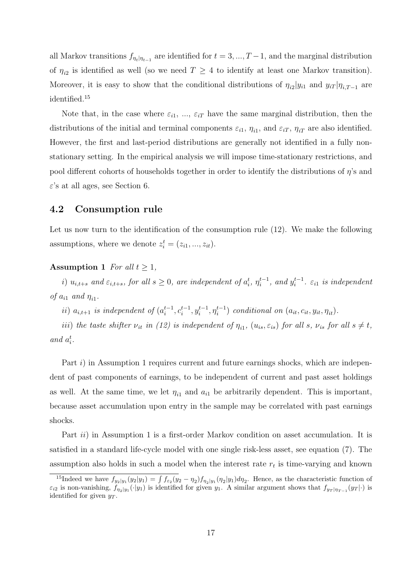all Markov transitions  $f_{\eta_t|\eta_{t-1}}$  are identified for  $t = 3, ..., T-1$ , and the marginal distribution of  $\eta_{i2}$  is identified as well (so we need  $T \geq 4$  to identify at least one Markov transition). Moreover, it is easy to show that the conditional distributions of  $\eta_{i2}|y_{i1}$  and  $y_{iT}|\eta_{i,T-1}$  are identified.<sup>15</sup>

Note that, in the case where  $\varepsilon_{i1}, \ldots, \varepsilon_{iT}$  have the same marginal distribution, then the distributions of the initial and terminal components  $\varepsilon_{i1}$ ,  $\eta_{i1}$ , and  $\varepsilon_{iT}$ ,  $\eta_{iT}$  are also identified. However, the first and last-period distributions are generally not identified in a fully nonstationary setting. In the empirical analysis we will impose time-stationary restrictions, and pool different cohorts of households together in order to identify the distributions of  $\eta$ 's and  $\varepsilon$ 's at all ages, see Section 6.

#### 4.2 Consumption rule

Let us now turn to the identification of the consumption rule (12). We make the following assumptions, where we denote  $z_i^t = (z_{i1}, ..., z_{it})$ .

#### Assumption 1 *For all*  $t \geq 1$ *,*

*i*)  $u_{i,t+s}$  and  $\varepsilon_{i,t+s}$ , for all  $s \geq 0$ , are independent of  $a_i^t$ ,  $\eta_i^{t-1}$ , and  $y_i^{t-1}$ .  $\varepsilon_{i1}$  is independent *of*  $a_{i1}$  *and*  $\eta_{i1}$ *.* 

ii)  $a_{i,t+1}$  is independent of  $(a_i^{t-1}, c_i^{t-1}, y_i^{t-1}, \eta_i^{t-1})$  conditional on  $(a_{it}, c_{it}, y_{it}, \eta_{it})$ .

*iii*) the taste shifter  $\nu_{it}$  *in* (12) *is independent of*  $\eta_{i1}$ ,  $(u_{is}, \varepsilon_{is})$  *for all*  $s$ ,  $\nu_{is}$  *for all*  $s \neq t$ , and  $a_i^t$ .

Part i) in Assumption 1 requires current and future earnings shocks, which are independent of past components of earnings, to be independent of current and past asset holdings as well. At the same time, we let  $\eta_{i1}$  and  $a_{i1}$  be arbitrarily dependent. This is important, because asset accumulation upon entry in the sample may be correlated with past earnings shocks.

Part *ii*) in Assumption 1 is a first-order Markov condition on asset accumulation. It is satisfied in a standard life-cycle model with one single risk-less asset, see equation (7). The assumption also holds in such a model when the interest rate  $r_t$  is time-varying and known

<sup>&</sup>lt;sup>15</sup>Indeed we have  $f_{y_2|y_1}(y_2|y_1) = \int f_{\epsilon_2}(y_2 - \eta_2) f_{\eta_2|y_1}(\eta_2|y_1) d\eta_2$ . Hence, as the characteristic function of  $\varepsilon_{i2}$  is non-vanishing,  $f_{\eta_2|y_1}(\cdot|y_1)$  is identified for given  $y_1$ . A similar argument shows that  $f_{y_T|\eta_{T-1}}(y_T|\cdot)$  is identified for given  $y_T$ .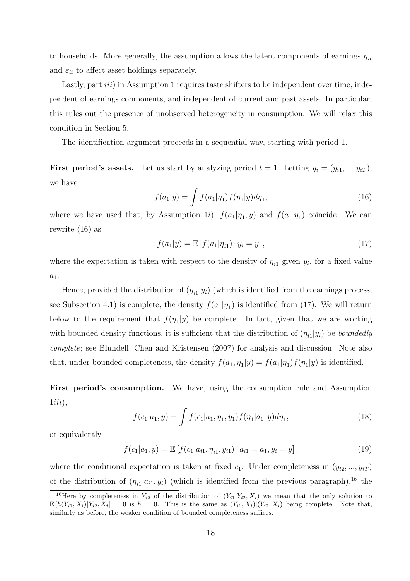to households. More generally, the assumption allows the latent components of earnings  $\eta_{it}$ and  $\varepsilon_{it}$  to affect asset holdings separately.

Lastly, part *iii*) in Assumption 1 requires taste shifters to be independent over time, independent of earnings components, and independent of current and past assets. In particular, this rules out the presence of unobserved heterogeneity in consumption. We will relax this condition in Section 5.

The identification argument proceeds in a sequential way, starting with period 1.

**First period's assets.** Let us start by analyzing period  $t = 1$ . Letting  $y_i = (y_{i1}, ..., y_{iT})$ , we have

$$
f(a_1|y) = \int f(a_1|\eta_1) f(\eta_1|y) d\eta_1,
$$
\n(16)

where we have used that, by Assumption 1*i*),  $f(a_1|\eta_1, y)$  and  $f(a_1|\eta_1)$  coincide. We can rewrite (16) as

$$
f(a_1|y) = \mathbb{E}\left[f(a_1|\eta_{i1}) \,|\, y_i = y\right],\tag{17}
$$

where the expectation is taken with respect to the density of  $\eta_{i1}$  given  $y_i$ , for a fixed value  $a_1$ .

Hence, provided the distribution of  $(\eta_{i1}|y_i)$  (which is identified from the earnings process, see Subsection 4.1) is complete, the density  $f(a_1|\eta_1)$  is identified from (17). We will return below to the requirement that  $f(\eta_1|y)$  be complete. In fact, given that we are working with bounded density functions, it is sufficient that the distribution of  $(\eta_{i1}|y_i)$  be *boundedly complete*; see Blundell, Chen and Kristensen (2007) for analysis and discussion. Note also that, under bounded completeness, the density  $f(a_1, \eta_1|y) = f(a_1|\eta_1)f(\eta_1|y)$  is identified.

First period's consumption. We have, using the consumption rule and Assumption  $1iii$ ,

$$
f(c_1|a_1, y) = \int f(c_1|a_1, \eta_1, y_1) f(\eta_1|a_1, y) d\eta_1,
$$
\n(18)

or equivalently

$$
f(c_1|a_1, y) = \mathbb{E}\left[f(c_1|a_{i1}, \eta_{i1}, y_{i1}) | a_{i1} = a_1, y_i = y\right],
$$
\n(19)

where the conditional expectation is taken at fixed  $c_1$ . Under completeness in  $(y_{i2},...,y_{iT})$ of the distribution of  $(\eta_{i1}|a_{i1}, y_i)$  (which is identified from the previous paragraph),<sup>16</sup> the

<sup>&</sup>lt;sup>16</sup>Here by completeness in  $Y_{i2}$  of the distribution of  $(Y_{i1}|Y_{i2}, X_i)$  we mean that the only solution to  $\mathbb{E}[h(Y_{i1}, X_i)|Y_{i2}, X_i] = 0$  is  $h = 0$ . This is the same as  $(Y_{i1}, X_i)|(Y_{i2}, X_i)$  being complete. Note that, similarly as before, the weaker condition of bounded completeness suffices.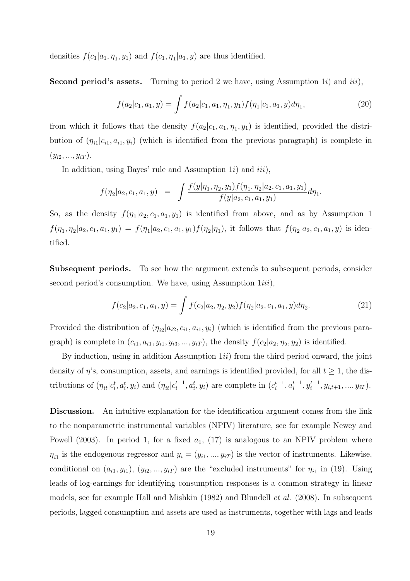densities  $f(c_1|a_1, \eta_1, y_1)$  and  $f(c_1, \eta_1|a_1, y)$  are thus identified.

**Second period's assets.** Turning to period 2 we have, using Assumption 1*i*) and *iii*),

$$
f(a_2|c_1, a_1, y) = \int f(a_2|c_1, a_1, \eta_1, y_1) f(\eta_1|c_1, a_1, y) d\eta_1,
$$
\n(20)

from which it follows that the density  $f(a_2|c_1, a_1, \eta_1, y_1)$  is identified, provided the distribution of  $(\eta_{i1}|c_{i1}, a_{i1}, y_i)$  (which is identified from the previous paragraph) is complete in  $(y_{i2},..., y_{iT}).$ 

In addition, using Bayes' rule and Assumption  $1i$ ) and  $iii$ ),

$$
f(\eta_2|a_2, c_1, a_1, y) = \int \frac{f(y|\eta_1, \eta_2, y_1) f(\eta_1, \eta_2|a_2, c_1, a_1, y_1)}{f(y|a_2, c_1, a_1, y_1)} d\eta_1.
$$

So, as the density  $f(\eta_1|a_2, c_1, a_1, y_1)$  is identified from above, and as by Assumption 1  $f(\eta_1,\eta_2|a_2,c_1,a_1,y_1) = f(\eta_1|a_2,c_1,a_1,y_1)f(\eta_2|\eta_1)$ , it follows that  $f(\eta_2|a_2,c_1,a_1,y)$  is identified.

Subsequent periods. To see how the argument extends to subsequent periods, consider second period's consumption. We have, using Assumption  $1iii$ ,

$$
f(c_2|a_2, c_1, a_1, y) = \int f(c_2|a_2, \eta_2, y_2) f(\eta_2|a_2, c_1, a_1, y) d\eta_2.
$$
 (21)

Provided the distribution of  $(\eta_{i2}|a_{i2}, c_{i1}, a_{i1}, y_i)$  (which is identified from the previous paragraph) is complete in  $(c_{i1}, a_{i1}, y_{i1}, y_{i3}, ..., y_{iT})$ , the density  $f(c_2|a_2, \eta_2, y_2)$  is identified.

By induction, using in addition Assumption  $1ii$ ) from the third period onward, the joint density of  $\eta$ 's, consumption, assets, and earnings is identified provided, for all  $t \geq 1$ , the distributions of  $(\eta_{it}|c_i^t, a_i^t, y_i)$  and  $(\eta_{it}|c_i^{t-1}, a_i^t, y_i)$  are complete in  $(c_i^{t-1}, a_i^{t-1}, y_i^{t-1}, y_{i,t+1}, ..., y_{iT})$ .

Discussion. An intuitive explanation for the identification argument comes from the link to the nonparametric instrumental variables (NPIV) literature, see for example Newey and Powell (2003). In period 1, for a fixed  $a_1$ , (17) is analogous to an NPIV problem where  $\eta_{i1}$  is the endogenous regressor and  $y_i = (y_{i1}, ..., y_{iT})$  is the vector of instruments. Likewise, conditional on  $(a_{i1}, y_{i1}), (y_{i2}, ..., y_{iT})$  are the "excluded instruments" for  $\eta_{i1}$  in (19). Using leads of log-earnings for identifying consumption responses is a common strategy in linear models, see for example Hall and Mishkin (1982) and Blundell *et al.* (2008). In subsequent periods, lagged consumption and assets are used as instruments, together with lags and leads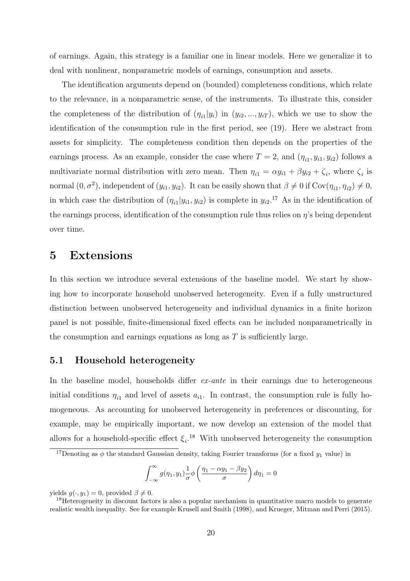of earnings. Again, this strategy is a familiar one in linear models. Here we generalize it to deal with nonlinear, nonparametric models of earnings, consumption and assets.

The identification arguments depend on (bounded) completeness conditions, which relate to the relevance, in a nonparametric sense, of the instruments. To illustrate this, consider the completeness of the distribution of  $(\eta_{i1}|y_i)$  in  $(y_{i2},...,y_{iT})$ , which we use to show the identification of the consumption rule in the first period, see (19). Here we abstract from assets for simplicity. The completeness condition then depends on the properties of the earnings process. As an example, consider the case where  $T = 2$ , and  $(\eta_{i1}, y_{i1}, y_{i2})$  follows a multivariate normal distribution with zero mean. Then  $\eta_{i1} = \alpha y_{i1} + \beta y_{i2} + \zeta_i$ , where  $\zeta_i$  is normal  $(0, \sigma^2)$ , independent of  $(y_{i1}, y_{i2})$ . It can be easily shown that  $\beta \neq 0$  if  $Cov(\eta_{i1}, \eta_{i2}) \neq 0$ , in which case the distribution of  $(\eta_{i1}|y_{i1}, y_{i2})$  is complete in  $y_{i2}$ .<sup>17</sup> As in the identification of the earnings process, identification of the consumption rule thus relies on  $\eta$ 's being dependent over time.

### 5 Extensions

In this section we introduce several extensions of the baseline model. We start by showing how to incorporate household unobserved heterogeneity. Even if a fully unstructured distinction between unobserved heterogeneity and individual dynamics in a finite horizon panel is not possible, finite-dimensional fixed effects can be included nonparametrically in the consumption and earnings equations as long as  $T$  is sufficiently large.

#### 5.1 Household heterogeneity

In the baseline model, households differ *ex-ante* in their earnings due to heterogeneous initial conditions  $\eta_{i1}$  and level of assets  $a_{i1}$ . In contrast, the consumption rule is fully homogeneous. As accounting for unobserved heterogeneity in preferences or discounting, for example, may be empirically important, we now develop an extension of the model that allows for a household-specific effect  $\xi_i$ .<sup>18</sup> With unobserved heterogeneity the consumption

$$
\int_{-\infty}^{\infty} g(\eta_1, y_1) \frac{1}{\sigma} \phi \left( \frac{\eta_1 - \alpha y_1 - \beta y_2}{\sigma} \right) d\eta_1 = 0
$$

yields  $g(\cdot, y_1) = 0$ , provided  $\beta \neq 0$ .

<sup>&</sup>lt;sup>17</sup>Denoting as  $\phi$  the standard Gaussian density, taking Fourier transforms (for a fixed  $y_1$  value) in

<sup>&</sup>lt;sup>18</sup>Heterogeneity in discount factors is also a popular mechanism in quantitative macro models to generate realistic wealth inequality. See for example Krusell and Smith (1998), and Krueger, Mitman and Perri (2015).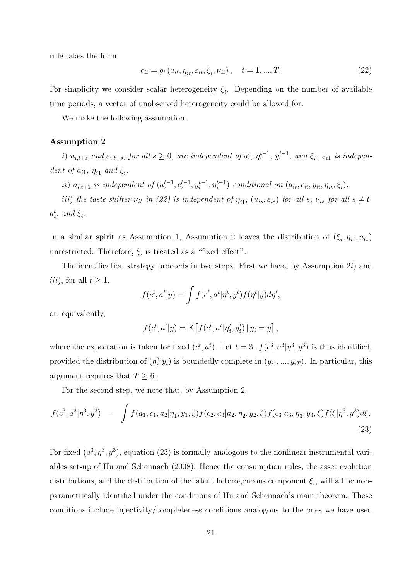rule takes the form

$$
c_{it} = g_t(a_{it}, \eta_{it}, \varepsilon_{it}, \xi_i, \nu_{it}), \quad t = 1, ..., T.
$$
 (22)

For simplicity we consider scalar heterogeneity  $\xi_i$ . Depending on the number of available time periods, a vector of unobserved heterogeneity could be allowed for.

We make the following assumption.

#### Assumption 2

*i*)  $u_{i,t+s}$  and  $\varepsilon_{i,t+s}$ , for all  $s \geq 0$ , are independent of  $a_i^t$ ,  $\eta_i^{t-1}$ ,  $y_i^{t-1}$ , and  $\xi_i$ .  $\varepsilon_{i1}$  is independent of  $a_{i1}$ ,  $\eta_{i1}$  and  $\xi_i$ .

ii)  $a_{i,t+1}$  is independent of  $(a_i^{t-1}, c_i^{t-1}, y_i^{t-1}, \eta_i^{t-1})$  conditional on  $(a_{it}, c_{it}, y_{it}, \eta_{it}, \xi_i)$ .

*iii*) the taste shifter  $\nu_{it}$  *in (22) is independent of*  $\eta_{i1}$ ,  $(u_{is}, \varepsilon_{is})$  *for all*  $s$ ,  $\nu_{is}$  *for all*  $s \neq t$ ,  $a_i^t$ *, and*  $\xi_i$ *.* 

In a similar spirit as Assumption 1, Assumption 2 leaves the distribution of  $(\xi_i, \eta_{i1}, a_{i1})$ unrestricted. Therefore,  $\xi_i$  is treated as a "fixed effect".

The identification strategy proceeds in two steps. First we have, by Assumption  $2i$ ) and *iii*), for all  $t \geq 1$ ,

$$
f(c^t, a^t | y) = \int f(c^t, a^t | \eta^t, y^t) f(\eta^t | y) d\eta^t,
$$

or, equivalently,

$$
f(c^t, a^t | y) = \mathbb{E} \left[ f(c^t, a^t | \eta_i^t, y_i^t) | y_i = y \right],
$$

where the expectation is taken for fixed  $(c^t, a^t)$ . Let  $t = 3$ .  $f(c^3, a^3 | \eta^3, y^3)$  is thus identified, provided the distribution of  $(\eta_i^3 | y_i)$  is boundedly complete in  $(y_{i4}, ..., y_{iT})$ . In particular, this argument requires that  $T \geq 6$ .

For the second step, we note that, by Assumption 2,

$$
f(c^3, a^3 | \eta^3, y^3) = \int f(a_1, c_1, a_2 | \eta_1, y_1, \xi) f(c_2, a_3 | a_2, \eta_2, y_2, \xi) f(c_3 | a_3, \eta_3, y_3, \xi) f(\xi | \eta^3, y^3) d\xi.
$$
\n(23)

For fixed  $(a^3, \eta^3, y^3)$ , equation (23) is formally analogous to the nonlinear instrumental variables set-up of Hu and Schennach (2008). Hence the consumption rules, the asset evolution distributions, and the distribution of the latent heterogeneous component  $\xi_i$ , will all be nonparametrically identified under the conditions of Hu and Schennach's main theorem. These conditions include injectivity/completeness conditions analogous to the ones we have used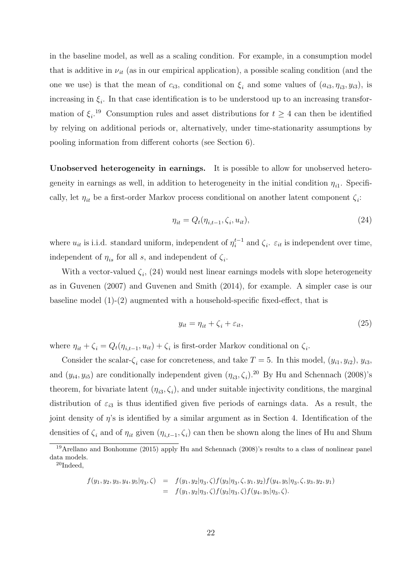in the baseline model, as well as a scaling condition. For example, in a consumption model that is additive in  $\nu_{it}$  (as in our empirical application), a possible scaling condition (and the one we use) is that the mean of  $c_{i3}$ , conditional on  $\xi_i$  and some values of  $(a_{i3}, \eta_{i3}, y_{i3})$ , is increasing in  $\xi_i$ . In that case identification is to be understood up to an increasing transformation of  $\xi_i$ <sup>19</sup> Consumption rules and asset distributions for  $t \geq 4$  can then be identified by relying on additional periods or, alternatively, under time-stationarity assumptions by pooling information from different cohorts (see Section 6).

Unobserved heterogeneity in earnings. It is possible to allow for unobserved heterogeneity in earnings as well, in addition to heterogeneity in the initial condition  $\eta_{i1}$ . Specifically, let  $\eta_{it}$  be a first-order Markov process conditional on another latent component  $\zeta_i$ :

$$
\eta_{it} = Q_t(\eta_{i,t-1}, \zeta_i, u_{it}),\tag{24}
$$

where  $u_{it}$  is i.i.d. standard uniform, independent of  $\eta_i^{t-1}$  and  $\zeta_i$ .  $\varepsilon_{it}$  is independent over time, independent of  $\eta_{is}$  for all s, and independent of  $\zeta_i$ .

With a vector-valued  $\zeta_i$ , (24) would nest linear earnings models with slope heterogeneity as in Guvenen (2007) and Guvenen and Smith (2014), for example. A simpler case is our baseline model  $(1)-(2)$  augmented with a household-specific fixed-effect, that is

$$
y_{it} = \eta_{it} + \zeta_i + \varepsilon_{it},\tag{25}
$$

where  $\eta_{it} + \zeta_i = Q_t(\eta_{i,t-1}, u_{it}) + \zeta_i$  is first-order Markov conditional on  $\zeta_i$ .

Consider the scalar- $\zeta_i$  case for concreteness, and take  $T = 5$ . In this model,  $(y_{i1}, y_{i2}), y_{i3}$ , and  $(y_{i4}, y_{i5})$  are conditionally independent given  $(\eta_{i3}, \zeta_i)$ .<sup>20</sup> By Hu and Schennach (2008)'s theorem, for bivariate latent  $(\eta_{i3}, \zeta_i)$ , and under suitable injectivity conditions, the marginal distribution of  $\varepsilon_{i3}$  is thus identified given five periods of earnings data. As a result, the joint density of  $\eta$ 's is identified by a similar argument as in Section 4. Identification of the densities of  $\zeta_i$  and of  $\eta_{it}$  given  $(\eta_{i,t-1}, \zeta_i)$  can then be shown along the lines of Hu and Shum

$$
f(y_1, y_2, y_3, y_4, y_5 | \eta_3, \zeta) = f(y_1, y_2 | \eta_3, \zeta) f(y_3 | \eta_3, \zeta, y_1, y_2) f(y_4, y_5 | \eta_3, \zeta, y_3, y_2, y_1)
$$
  
=  $f(y_1, y_2 | \eta_3, \zeta) f(y_3 | \eta_3, \zeta) f(y_4, y_5 | \eta_3, \zeta).$ 

<sup>&</sup>lt;sup>19</sup>Arellano and Bonhomme (2015) apply Hu and Schennach (2008)'s results to a class of nonlinear panel data models.

<sup>20</sup>Indeed,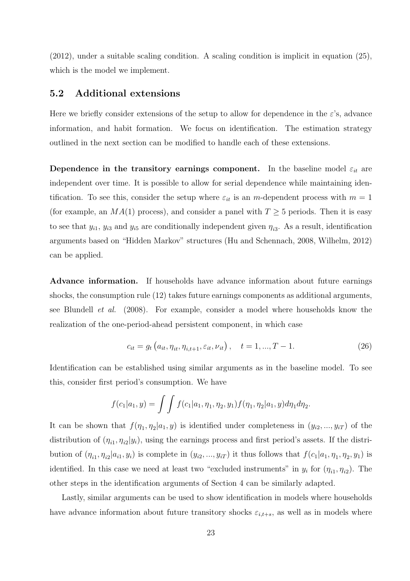(2012), under a suitable scaling condition. A scaling condition is implicit in equation (25), which is the model we implement.

#### 5.2 Additional extensions

Here we briefly consider extensions of the setup to allow for dependence in the  $\varepsilon$ 's, advance information, and habit formation. We focus on identification. The estimation strategy outlined in the next section can be modified to handle each of these extensions.

Dependence in the transitory earnings component. In the baseline model  $\varepsilon_{it}$  are independent over time. It is possible to allow for serial dependence while maintaining identification. To see this, consider the setup where  $\varepsilon_{it}$  is an m-dependent process with  $m = 1$ (for example, an  $MA(1)$  process), and consider a panel with  $T \geq 5$  periods. Then it is easy to see that  $y_{i1}$ ,  $y_{i3}$  and  $y_{i5}$  are conditionally independent given  $\eta_{i3}$ . As a result, identification arguments based on "Hidden Markov" structures (Hu and Schennach, 2008, Wilhelm, 2012) can be applied.

Advance information. If households have advance information about future earnings shocks, the consumption rule (12) takes future earnings components as additional arguments, see Blundell *et al.* (2008). For example, consider a model where households know the realization of the one-period-ahead persistent component, in which case

$$
c_{it} = g_t \left( a_{it}, \eta_{it}, \eta_{i, t+1}, \varepsilon_{it}, \nu_{it} \right), \quad t = 1, ..., T - 1.
$$
 (26)

Identification can be established using similar arguments as in the baseline model. To see this, consider first period's consumption. We have

$$
f(c_1|a_1,y) = \int \int f(c_1|a_1,\eta_1,\eta_2,y_1) f(\eta_1,\eta_2|a_1,y) d\eta_1 d\eta_2.
$$

It can be shown that  $f(\eta_1, \eta_2|a_1, y)$  is identified under completeness in  $(y_{i2}, ..., y_{iT})$  of the distribution of  $(\eta_{i1}, \eta_{i2}|y_i)$ , using the earnings process and first period's assets. If the distribution of  $(\eta_{i1}, \eta_{i2}|a_{i1}, y_i)$  is complete in  $(y_{i2}, ..., y_{iT})$  it thus follows that  $f(c_1|a_1, \eta_1, \eta_2, y_1)$  is identified. In this case we need at least two "excluded instruments" in  $y_i$  for  $(\eta_{i1}, \eta_{i2})$ . The other steps in the identification arguments of Section 4 can be similarly adapted.

Lastly, similar arguments can be used to show identification in models where households have advance information about future transitory shocks  $\varepsilon_{i,t+s}$ , as well as in models where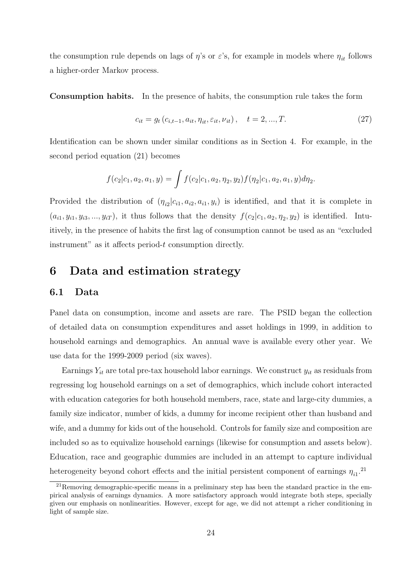the consumption rule depends on lags of  $\eta$ 's or  $\varepsilon$ 's, for example in models where  $\eta_{it}$  follows a higher-order Markov process.

Consumption habits. In the presence of habits, the consumption rule takes the form

$$
c_{it} = g_t (c_{i,t-1}, a_{it}, \eta_{it}, \varepsilon_{it}, \nu_{it}), \quad t = 2, ..., T.
$$
 (27)

Identification can be shown under similar conditions as in Section 4. For example, in the second period equation (21) becomes

$$
f(c_2|c_1, a_2, a_1, y) = \int f(c_2|c_1, a_2, \eta_2, y_2) f(\eta_2|c_1, a_2, a_1, y) d\eta_2.
$$

Provided the distribution of  $(\eta_{i2}|c_{i1}, a_{i2}, a_{i1}, y_i)$  is identified, and that it is complete in  $(a_{i1}, y_{i1}, y_{i3}, ..., y_{iT})$ , it thus follows that the density  $f(c_2|c_1, a_2, \eta_2, y_2)$  is identified. Intuitively, in the presence of habits the first lag of consumption cannot be used as an "excluded instrument" as it affects period-t consumption directly.

### 6 Data and estimation strategy

#### 6.1 Data

Panel data on consumption, income and assets are rare. The PSID began the collection of detailed data on consumption expenditures and asset holdings in 1999, in addition to household earnings and demographics. An annual wave is available every other year. We use data for the 1999-2009 period (six waves).

Earnings  $Y_{it}$  are total pre-tax household labor earnings. We construct  $y_{it}$  as residuals from regressing log household earnings on a set of demographics, which include cohort interacted with education categories for both household members, race, state and large-city dummies, a family size indicator, number of kids, a dummy for income recipient other than husband and wife, and a dummy for kids out of the household. Controls for family size and composition are included so as to equivalize household earnings (likewise for consumption and assets below). Education, race and geographic dummies are included in an attempt to capture individual heterogeneity beyond cohort effects and the initial persistent component of earnings  $\eta_{i1}$ <sup>21</sup>

 $^{21}$ Removing demographic-specific means in a preliminary step has been the standard practice in the empirical analysis of earnings dynamics. A more satisfactory approach would integrate both steps, specially given our emphasis on nonlinearities. However, except for age, we did not attempt a richer conditioning in light of sample size.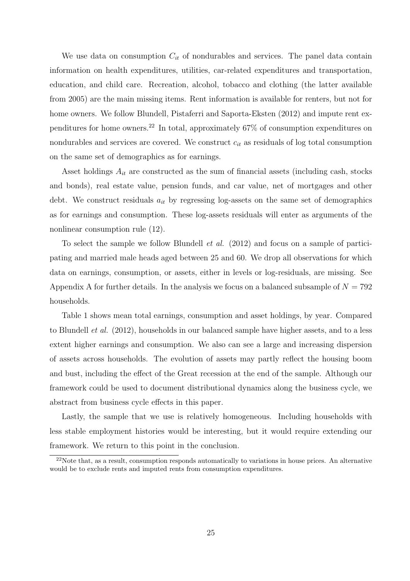We use data on consumption  $C_{it}$  of nondurables and services. The panel data contain information on health expenditures, utilities, car-related expenditures and transportation, education, and child care. Recreation, alcohol, tobacco and clothing (the latter available from 2005) are the main missing items. Rent information is available for renters, but not for home owners. We follow Blundell, Pistaferri and Saporta-Eksten (2012) and impute rent expenditures for home owners.<sup>22</sup> In total, approximately 67% of consumption expenditures on nondurables and services are covered. We construct  $c_{it}$  as residuals of log total consumption on the same set of demographics as for earnings.

Asset holdings  $A_{it}$  are constructed as the sum of financial assets (including cash, stocks and bonds), real estate value, pension funds, and car value, net of mortgages and other debt. We construct residuals  $a_{it}$  by regressing log-assets on the same set of demographics as for earnings and consumption. These log-assets residuals will enter as arguments of the nonlinear consumption rule (12).

To select the sample we follow Blundell *et al.* (2012) and focus on a sample of participating and married male heads aged between 25 and 60. We drop all observations for which data on earnings, consumption, or assets, either in levels or log-residuals, are missing. See Appendix A for further details. In the analysis we focus on a balanced subsample of  $N = 792$ households.

Table 1 shows mean total earnings, consumption and asset holdings, by year. Compared to Blundell *et al.* (2012), households in our balanced sample have higher assets, and to a less extent higher earnings and consumption. We also can see a large and increasing dispersion of assets across households. The evolution of assets may partly reflect the housing boom and bust, including the effect of the Great recession at the end of the sample. Although our framework could be used to document distributional dynamics along the business cycle, we abstract from business cycle effects in this paper.

Lastly, the sample that we use is relatively homogeneous. Including households with less stable employment histories would be interesting, but it would require extending our framework. We return to this point in the conclusion.

<sup>&</sup>lt;sup>22</sup>Note that, as a result, consumption responds automatically to variations in house prices. An alternative would be to exclude rents and imputed rents from consumption expenditures.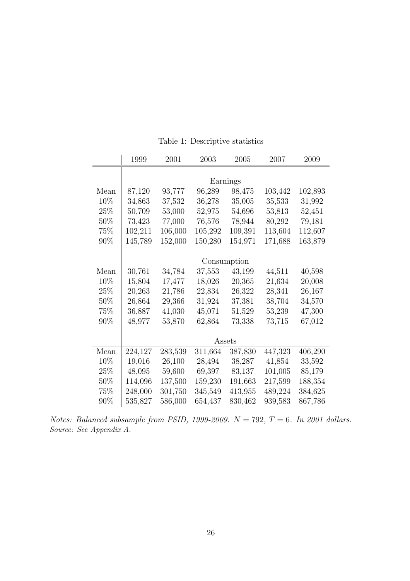|        | 1999        | 2001    | 2003    | 2005    | 2007    | 2009    |
|--------|-------------|---------|---------|---------|---------|---------|
|        |             |         |         |         |         |         |
|        | Earnings    |         |         |         |         |         |
| Mean   | 87,120      | 93,777  | 96,289  | 98,475  | 103,442 | 102,893 |
| 10%    | 34,863      | 37,532  | 36,278  | 35,005  | 35,533  | 31,992  |
| $25\%$ | 50,709      | 53,000  | 52,975  | 54,696  | 53,813  | 52,451  |
| $50\%$ | 73,423      | 77,000  | 76,576  | 78,944  | 80,292  | 79,181  |
| 75%    | 102,211     | 106,000 | 105,292 | 109,391 | 113,604 | 112,607 |
| $90\%$ | 145,789     | 152,000 | 150,280 | 154,971 | 171,688 | 163,879 |
|        |             |         |         |         |         |         |
|        | Consumption |         |         |         |         |         |
| Mean   | 30,761      | 34,784  | 37,553  | 43,199  | 44,511  | 40,598  |
| 10%    | 15,804      | 17,477  | 18,026  | 20,365  | 21,634  | 20,008  |
| $25\%$ | 20,263      | 21,786  | 22,834  | 26,322  | 28,341  | 26,167  |
| $50\%$ | 26,864      | 29,366  | 31,924  | 37,381  | 38,704  | 34,570  |
| 75%    | 36,887      | 41,030  | 45,071  | 51,529  | 53,239  | 47,300  |
| $90\%$ | 48,977      | 53,870  | 62,864  | 73,338  | 73,715  | 67,012  |
|        |             |         |         |         |         |         |
|        | Assets      |         |         |         |         |         |
| Mean   | 224,127     | 283,539 | 311,664 | 387,830 | 447,323 | 406,290 |
| 10%    | 19,016      | 26,100  | 28,494  | 38,287  | 41,854  | 33,592  |
| $25\%$ | 48,095      | 59,600  | 69,397  | 83,137  | 101,005 | 85,179  |
| $50\%$ | 114,096     | 137,500 | 159,230 | 191,663 | 217,599 | 188,354 |
| 75\%   | 248,000     | 301,750 | 345,549 | 413,955 | 489,224 | 384,625 |
| $90\%$ | 535,827     | 586,000 | 654,437 | 830,462 | 939,583 | 867,786 |

Table 1: Descriptive statistics

*Notes: Balanced subsample from PSID, 1999-2009.* N = 792*,* T = 6*. In 2001 dollars.* Source: See Appendix A.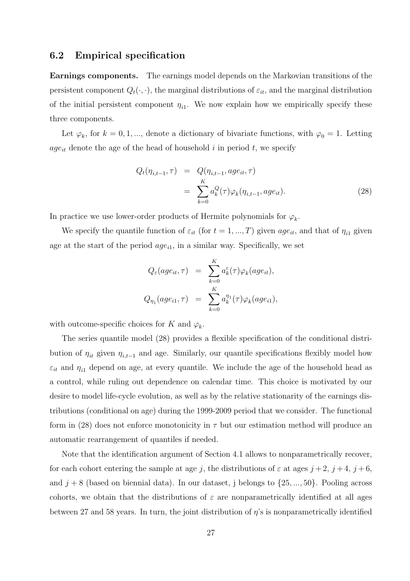#### 6.2 Empirical specification

Earnings components. The earnings model depends on the Markovian transitions of the persistent component  $Q_t(\cdot, \cdot)$ , the marginal distributions of  $\varepsilon_{it}$ , and the marginal distribution of the initial persistent component  $\eta_{i1}$ . We now explain how we empirically specify these three components.

Let  $\varphi_k$ , for  $k = 0, 1, ...,$  denote a dictionary of bivariate functions, with  $\varphi_0 = 1$ . Letting  $age_{it}$  denote the age of the head of household i in period t, we specify

$$
Q_t(\eta_{i,t-1}, \tau) = Q(\eta_{i,t-1}, age_{it}, \tau)
$$
  
= 
$$
\sum_{k=0}^{K} a_k^Q(\tau) \varphi_k(\eta_{i,t-1}, age_{it}).
$$
 (28)

In practice we use lower-order products of Hermite polynomials for  $\varphi_k$ .

We specify the quantile function of  $\varepsilon_{it}$  (for  $t = 1, ..., T$ ) given  $age_{it}$ , and that of  $\eta_{i1}$  given age at the start of the period  $age_{i1}$ , in a similar way. Specifically, we set

$$
Q_{\varepsilon}(age_{it}, \tau) = \sum_{k=0}^{K} a_k^{\varepsilon}(\tau) \varphi_k(age_{it}),
$$
  

$$
Q_{\eta_1}(age_{i1}, \tau) = \sum_{k=0}^{K} a_k^{\eta_1}(\tau) \varphi_k(age_{i1}),
$$

with outcome-specific choices for K and  $\varphi_k$ .

The series quantile model (28) provides a flexible specification of the conditional distribution of  $\eta_{it}$  given  $\eta_{i,t-1}$  and age. Similarly, our quantile specifications flexibly model how  $\varepsilon_{it}$  and  $\eta_{i1}$  depend on age, at every quantile. We include the age of the household head as a control, while ruling out dependence on calendar time. This choice is motivated by our desire to model life-cycle evolution, as well as by the relative stationarity of the earnings distributions (conditional on age) during the 1999-2009 period that we consider. The functional form in (28) does not enforce monotonicity in  $\tau$  but our estimation method will produce an automatic rearrangement of quantiles if needed.

Note that the identification argument of Section 4.1 allows to nonparametrically recover, for each cohort entering the sample at age j, the distributions of  $\varepsilon$  at ages  $j + 2$ ,  $j + 4$ ,  $j + 6$ , and  $j + 8$  (based on biennial data). In our dataset, j belongs to  $\{25, ..., 50\}$ . Pooling across cohorts, we obtain that the distributions of  $\varepsilon$  are nonparametrically identified at all ages between 27 and 58 years. In turn, the joint distribution of  $\eta$ 's is nonparametrically identified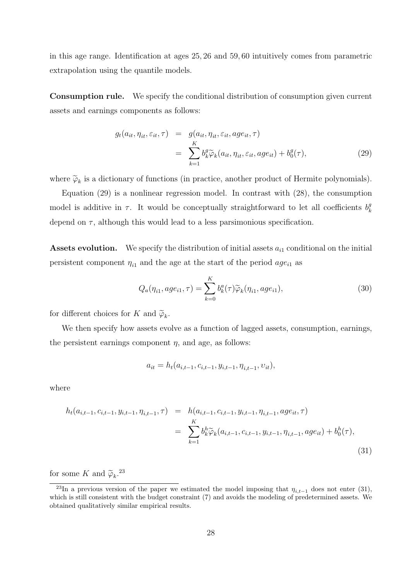in this age range. Identification at ages 25, 26 and 59, 60 intuitively comes from parametric extrapolation using the quantile models.

Consumption rule. We specify the conditional distribution of consumption given current assets and earnings components as follows:

$$
g_t(a_{it}, \eta_{it}, \varepsilon_{it}, \tau) = g(a_{it}, \eta_{it}, \varepsilon_{it}, age_{it}, \tau)
$$
  

$$
= \sum_{k=1}^K b_k^g \widetilde{\varphi}_k(a_{it}, \eta_{it}, \varepsilon_{it}, age_{it}) + b_0^g(\tau),
$$
 (29)

where  $\widetilde{\varphi}_k$  is a dictionary of functions (in practice, another product of Hermite polynomials).

Equation (29) is a nonlinear regression model. In contrast with (28), the consumption model is additive in  $\tau$ . It would be conceptually straightforward to let all coefficients  $b_k^g$ k depend on  $\tau$ , although this would lead to a less parsimonious specification.

**Assets evolution.** We specify the distribution of initial assets  $a_{i1}$  conditional on the initial persistent component  $\eta_{i1}$  and the age at the start of the period  $age_{i1}$  as

$$
Q_a(\eta_{i1}, age_{i1}, \tau) = \sum_{k=0}^{K} b_k^a(\tau) \widetilde{\varphi}_k(\eta_{i1}, age_{i1}), \qquad (30)
$$

for different choices for K and  $\tilde{\varphi}_k$ .

We then specify how assets evolve as a function of lagged assets, consumption, earnings, the persistent earnings component  $\eta$ , and age, as follows:

$$
a_{it} = h_t(a_{i,t-1}, c_{i,t-1}, y_{i,t-1}, \eta_{i,t-1}, v_{it}),
$$

where

$$
h_t(a_{i,t-1}, c_{i,t-1}, y_{i,t-1}, \eta_{i,t-1}, \tau) = h(a_{i,t-1}, c_{i,t-1}, y_{i,t-1}, \eta_{i,t-1}, age_{it}, \tau)
$$
  

$$
= \sum_{k=1}^K b_k^h \widetilde{\varphi}_k(a_{i,t-1}, c_{i,t-1}, y_{i,t-1}, \eta_{i,t-1}, age_{it}) + b_0^h(\tau),
$$
  
(31)

for some K and  $\tilde{\varphi}_k$ .<sup>23</sup>

<sup>&</sup>lt;sup>23</sup>In a previous version of the paper we estimated the model imposing that  $\eta_{i,t-1}$  does not enter (31), which is still consistent with the budget constraint (7) and avoids the modeling of predetermined assets. We obtained qualitatively similar empirical results.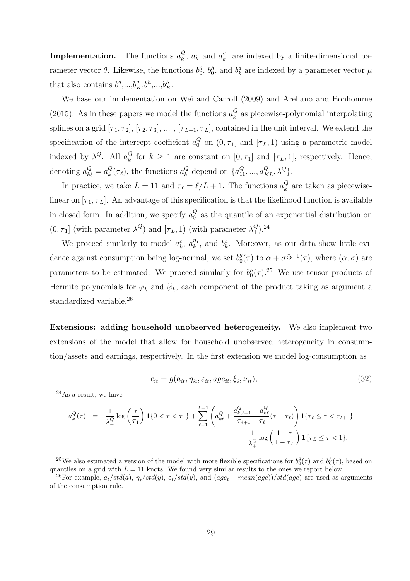**Implementation.** The functions  $a_k^Q$  $\alpha_k^Q$ ,  $a_k^{\varepsilon}$  and  $a_k^{\eta_1}$  $\frac{\eta_1}{k}$  are indexed by a finite-dimensional parameter vector  $\theta$ . Likewise, the functions  $b_0^g$  $\theta_0^g$ ,  $b_0^h$ , and  $b_k^a$  are indexed by a parameter vector  $\mu$ that also contains  $b_1^g$  $a_1^g,...,b_K^g,b_1^h,...,b_K^h.$ 

We base our implementation on Wei and Carroll (2009) and Arellano and Bonhomme (2015). As in these papers we model the functions  $a_k^Q$  $\frac{Q}{k}$  as piecewise-polynomial interpolating splines on a grid  $[\tau_1, \tau_2]$ ,  $[\tau_2, \tau_3]$ , ...,  $[\tau_{L-1}, \tau_L]$ , contained in the unit interval. We extend the specification of the intercept coefficient  $a_0^Q$  $\begin{bmatrix} Q \\ 0 \end{bmatrix}$  on  $(0, \tau_1]$  and  $[\tau_L, 1)$  using a parametric model indexed by  $\lambda^Q$ . All  $a_k^Q$  $\kappa_{k}^{Q}$  for  $k \geq 1$  are constant on  $[0, \tau_{1}]$  and  $[\tau_{L}, 1]$ , respectively. Hence, denoting  $a_{k\ell}^Q = a_k^Q$  $_k^Q(\tau_\ell)$ , the functions  $a_k^Q$  $k_{k}^{Q}$  depend on  $\{a_{11}^{Q},...,a_{KL}^{Q},\lambda^{Q}\}.$ 

In practice, we take  $L = 11$  and  $\tau_{\ell} = \ell/L + 1$ . The functions  $a_k^Q$  $\kappa$  are taken as piecewiselinear on  $[\tau_1, \tau_L]$ . An advantage of this specification is that the likelihood function is available in closed form. In addition, we specify  $a_0^Q$  $\alpha_0^Q$  as the quantile of an exponential distribution on  $(0, \tau_1]$  (with parameter  $\lambda_-^Q$ ) and  $[\tau_L, 1)$  (with parameter  $\lambda_+^Q$ ).<sup>24</sup>

We proceed similarly to model  $a_k^{\varepsilon}$ ,  $a_k^{\eta_1}$  $\eta_1^{n_1}$ , and  $b_k^a$ . Moreover, as our data show little evidence against consumption being log-normal, we set  $b_0^g$  $_{0}^{g}(\tau)$  to  $\alpha + \sigma \Phi^{-1}(\tau)$ , where  $(\alpha, \sigma)$  are parameters to be estimated. We proceed similarly for  $b_0^h(\tau)$ .<sup>25</sup> We use tensor products of Hermite polynomials for  $\varphi_k$  and  $\widetilde{\varphi}_k$ , each component of the product taking as argument a standardized variable.<sup>26</sup>

Extensions: adding household unobserved heterogeneity. We also implement two extensions of the model that allow for household unobserved heterogeneity in consumption/assets and earnings, respectively. In the first extension we model log-consumption as

$$
c_{it} = g(a_{it}, \eta_{it}, \varepsilon_{it}, age_{it}, \xi_i, \nu_{it}),
$$
\n(32)

$$
a_k^Q(\tau) = \frac{1}{\lambda_1^Q} \log \left(\frac{\tau}{\tau_1}\right) \mathbf{1} \{0 < \tau < \tau_1\} + \sum_{\ell=1}^{L-1} \left( a_{k\ell}^Q + \frac{a_{k,\ell+1}^Q - a_{k\ell}^Q}{\tau_{\ell+1} - \tau_\ell} (\tau - \tau_\ell) \right) \mathbf{1} \{ \tau_\ell \le \tau < \tau_{\ell+1} \} - \frac{1}{\lambda_1^Q} \log \left( \frac{1 - \tau}{1 - \tau_L} \right) \mathbf{1} \{ \tau_L \le \tau < 1 \}.
$$

<sup>25</sup>We also estimated a version of the model with more flexible specifications for  $b_0^g(\tau)$  and  $b_0^h(\tau)$ , based on quantiles on a grid with  $L = 11$  knots. We found very similar results to the ones we report below.

<sup>26</sup>For example,  $a_t/std(a)$ ,  $\eta_t/std(y)$ ,  $\varepsilon_t/std(y)$ , and  $(age_t - mean(age))/std(age)$  are used as arguments of the consumption rule.

 $24As$  a result, we have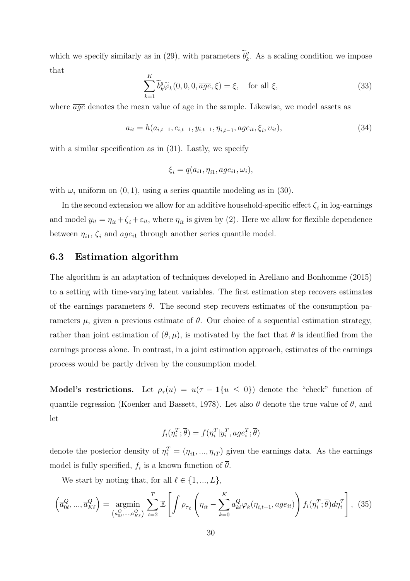which we specify similarly as in (29), with parameters  $\tilde{b}_k^g$  $\frac{g}{k}$ . As a scaling condition we impose that

$$
\sum_{k=1}^{K} \tilde{b}_{k}^{g} \tilde{\varphi}_{k}(0,0,0,\overline{age},\xi) = \xi, \quad \text{for all } \xi,
$$
\n(33)

where  $\overline{a}q\overline{e}$  denotes the mean value of age in the sample. Likewise, we model assets as

$$
a_{it} = h(a_{i,t-1}, c_{i,t-1}, y_{i,t-1}, \eta_{i,t-1}, age_{it}, \xi_i, v_{it}),
$$
\n(34)

with a similar specification as in  $(31)$ . Lastly, we specify

$$
\xi_i = q(a_{i1}, \eta_{i1}, age_{i1}, \omega_i),
$$

with  $\omega_i$  uniform on  $(0, 1)$ , using a series quantile modeling as in  $(30)$ .

In the second extension we allow for an additive household-specific effect  $\zeta_i$  in log-earnings and model  $y_{it} = \eta_{it} + \zeta_i + \varepsilon_{it}$ , where  $\eta_{it}$  is given by (2). Here we allow for flexible dependence between  $\eta_{i1}$ ,  $\zeta_i$  and  $age_{i1}$  through another series quantile model.

#### 6.3 Estimation algorithm

The algorithm is an adaptation of techniques developed in Arellano and Bonhomme (2015) to a setting with time-varying latent variables. The first estimation step recovers estimates of the earnings parameters  $\theta$ . The second step recovers estimates of the consumption parameters  $\mu$ , given a previous estimate of  $\theta$ . Our choice of a sequential estimation strategy, rather than joint estimation of  $(\theta, \mu)$ , is motivated by the fact that  $\theta$  is identified from the earnings process alone. In contrast, in a joint estimation approach, estimates of the earnings process would be partly driven by the consumption model.

Model's restrictions. Let  $\rho_{\tau}(u) = u(\tau - 1\{u \le 0\})$  denote the "check" function of quantile regression (Koenker and Bassett, 1978). Let also  $\bar{\theta}$  denote the true value of  $\theta$ , and let

$$
f_i(\eta_i^T; \overline{\theta}) = f(\eta_i^T | y_i^T, age_i^T; \overline{\theta})
$$

denote the posterior density of  $\eta_i^T = (\eta_{i1}, ..., \eta_{iT})$  given the earnings data. As the earnings model is fully specified,  $f_i$  is a known function of  $\theta$ .

We start by noting that, for all  $\ell \in \{1, ..., L\},\$ 

$$
\left(\overline{a}_{0\ell}^Q, ..., \overline{a}_{K\ell}^Q\right) = \underset{\left(a_{0\ell}^Q, ..., a_{K\ell}^Q\right)}{\text{argmin}} \sum_{t=2}^T \mathbb{E}\left[\int \rho_{\tau_\ell} \left(\eta_{it} - \sum_{k=0}^K a_{k\ell}^Q \varphi_k(\eta_{i,t-1}, age_{it})\right) f_i(\eta_i^T; \overline{\theta}) d\eta_i^T\right], \tag{35}
$$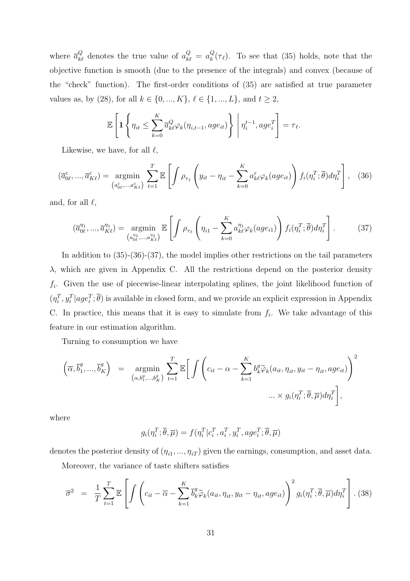where  $\bar{a}_{k\ell}^Q$  denotes the true value of  $a_{k\ell}^Q = a_k^Q$  $_{k}^{Q}(\tau_{\ell})$ . To see that (35) holds, note that the objective function is smooth (due to the presence of the integrals) and convex (because of the "check" function). The first-order conditions of (35) are satisfied at true parameter values as, by (28), for all  $k \in \{0, ..., K\}, \, \ell \in \{1, ..., L\},$  and  $t \geq 2,$ 

$$
\mathbb{E}\left[\mathbf{1}\left\{\eta_{it} \leq \sum_{k=0}^{K} \overline{a}_{k\ell}^{Q} \varphi_k(\eta_{i,t-1}, age_{it})\right\} \bigg| \eta_{i}^{t-1}, age_i^T\right] = \tau_{\ell}.
$$

Likewise, we have, for all  $\ell$ ,

$$
(\overline{a}_{0\ell}^{\varepsilon}, ..., \overline{a}_{K\ell}^{\varepsilon}) = \underset{(a_{0\ell}^{\varepsilon}, ..., a_{K\ell}^{\varepsilon})}{\operatorname{argmin}} \sum_{t=1}^{T} \mathbb{E}\left[\int \rho_{\tau_{\ell}}\left(y_{it} - \eta_{it} - \sum_{k=0}^{K} a_{k\ell}^{\varepsilon} \varphi_{k}(age_{it})\right) f_{i}(\eta_{i}^{T}; \overline{\theta}) d\eta_{i}^{T}\right],
$$
 (36)

and, for all  $\ell$ ,

$$
(\overline{a}_{0\ell}^{\eta_1}, \dots, \overline{a}_{K\ell}^{\eta_1}) = \underset{(a_{0\ell}^{\eta_1}, \dots, a_{K\ell}^{\eta_1})}{\operatorname{argmin}} \mathbb{E}\left[\int \rho_{\tau_\ell} \left(\eta_{i1} - \sum_{k=0}^K a_{k\ell}^{\eta_1} \varphi_k(age_{i1})\right) f_i(\eta_i^T; \overline{\theta}) d\eta_i^T\right].
$$
 (37)

In addition to (35)-(36)-(37), the model implies other restrictions on the tail parameters  $\lambda$ , which are given in Appendix C. All the restrictions depend on the posterior density  $f_i$ . Given the use of piecewise-linear interpolating splines, the joint likelihood function of  $(\eta_i^T, y_i^T | age_i^T; \overline{\theta})$  is available in closed form, and we provide an explicit expression in Appendix C. In practice, this means that it is easy to simulate from  $f_i$ . We take advantage of this feature in our estimation algorithm.

Turning to consumption we have

$$
\left(\overline{\alpha}, \overline{b}_1^g, ..., \overline{b}_K^g\right) = \underset{\left(\alpha, b_1^g, ..., b_K^g\right)}{\operatorname{argmin}} \sum_{t=1}^T \mathbb{E}\bigg[\int \left(c_{it} - \alpha - \sum_{k=1}^K b_k^g \widetilde{\varphi}_k(a_{it}, \eta_{it}, y_{it} - \eta_{it}, age_{it})\right)^2
$$

$$
... \times g_i(\eta_i^T; \overline{\theta}, \overline{\mu}) d\eta_i^T\bigg],
$$

where

$$
g_i(\eta_i^T; \overline{\theta}, \overline{\mu}) = f(\eta_i^T | c_i^T, a_i^T, y_i^T, age_i^T; \overline{\theta}, \overline{\mu})
$$

denotes the posterior density of  $(\eta_{i1},...,\eta_{iT})$  given the earnings, consumption, and asset data.

Moreover, the variance of taste shifters satisfies

$$
\overline{\sigma}^2 = \frac{1}{T} \sum_{t=1}^T \mathbb{E} \left[ \int \left( c_{it} - \overline{\alpha} - \sum_{k=1}^K \overline{b}_k^g \widetilde{\varphi}_k(a_{it}, \eta_{it}, y_{it} - \eta_{it}, age_{it}) \right)^2 g_i(\eta_i^T; \overline{\theta}, \overline{\mu}) d\eta_i^T \right].
$$
 (38)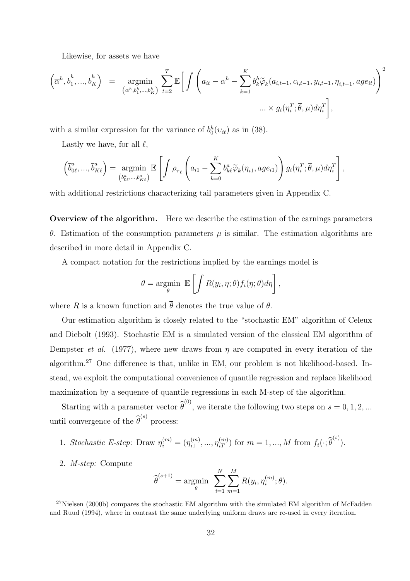Likewise, for assets we have

$$
\left(\overline{\alpha}^h, \overline{b}_1^h, ..., \overline{b}_K^h\right) = \underset{\left(\alpha^h, b_1^h, ..., b_K^h\right)}{\operatorname{argmin}} \sum_{t=2}^T \mathbb{E}\bigg[\int \left(a_{it} - \alpha^h - \sum_{k=1}^K b_k^h \widetilde{\varphi}_k(a_{i,t-1}, c_{i,t-1}, y_{i,t-1}, \eta_{i,t-1}, age_{it})\right)^2
$$

$$
... \times g_i(\eta_i^T; \overline{\theta}, \overline{\mu}) d\eta_i^T\bigg],
$$

with a similar expression for the variance of  $b_0^h(v_{it})$  as in (38).

Lastly we have, for all  $\ell$ ,

$$
\left(\overline{b}_{0\ell}^a, ..., \overline{b}_{K\ell}^a\right) = \underset{\left(b_{0\ell}^a, ..., b_{K\ell}^a\right)}{\operatorname{argmin}} \mathbb{E}\left[\int \rho_{\tau_\ell}\left(a_{i1} - \sum_{k=0}^K b_{k\ell}^a \widetilde{\varphi}_k(\eta_{i1}, age_{i1})\right) g_i(\eta_i^T; \overline{\theta}, \overline{\mu}) d\eta_i^T\right],
$$

with additional restrictions characterizing tail parameters given in Appendix C.

Overview of the algorithm. Here we describe the estimation of the earnings parameters θ. Estimation of the consumption parameters µ is similar. The estimation algorithms are described in more detail in Appendix C.

A compact notation for the restrictions implied by the earnings model is

$$
\overline{\theta} = \underset{\theta}{\text{argmin}} \ \mathbb{E}\left[\int R(y_i, \eta; \theta) f_i(\eta; \overline{\theta}) d\eta\right],
$$

where R is a known function and  $\overline{\theta}$  denotes the true value of  $\theta$ .

Our estimation algorithm is closely related to the "stochastic EM" algorithm of Celeux and Diebolt (1993). Stochastic EM is a simulated version of the classical EM algorithm of Dempster *et al.* (1977), where new draws from  $\eta$  are computed in every iteration of the algorithm.<sup>27</sup> One difference is that, unlike in EM, our problem is not likelihood-based. Instead, we exploit the computational convenience of quantile regression and replace likelihood maximization by a sequence of quantile regressions in each M-step of the algorithm.

Starting with a parameter vector  $\hat{\theta}^{(0)}$ , we iterate the following two steps on  $s = 0, 1, 2, ...$ until convergence of the  $\widehat{\theta}^{(s)}$  process:

1. Stochastic E-step: Draw 
$$
\eta_i^{(m)} = (\eta_{i1}^{(m)}, ..., \eta_{iT}^{(m)})
$$
 for  $m = 1, ..., M$  from  $f_i(\cdot; \widehat{\theta}^{(s)})$ .

2. *M-step:* Compute

$$
\widehat{\boldsymbol{\theta}}^{(s+1)} = \underset{\boldsymbol{\theta}}{\text{argmin}} \sum_{i=1}^{N} \sum_{m=1}^{M} R(y_i, \eta_i^{(m)}; \boldsymbol{\theta}).
$$

 $27$ Nielsen (2000b) compares the stochastic EM algorithm with the simulated EM algorithm of McFadden and Ruud (1994), where in contrast the same underlying uniform draws are re-used in every iteration.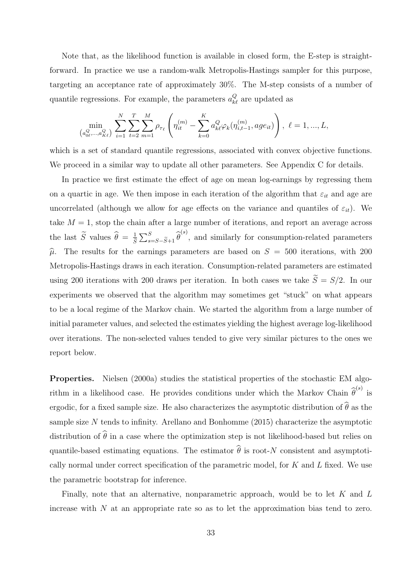Note that, as the likelihood function is available in closed form, the E-step is straightforward. In practice we use a random-walk Metropolis-Hastings sampler for this purpose, targeting an acceptance rate of approximately 30%. The M-step consists of a number of quantile regressions. For example, the parameters  $a_{k\ell}^Q$  are updated as

$$
\min_{\left(a_{0\ell}^{Q},...,a_{K\ell}^{Q}\right)}\ \sum_{i=1}^{N}\sum_{t=2}^{T}\sum_{m=1}^{M}\rho_{\tau_{\ell}}\left(\eta_{it}^{(m)}-\sum_{k=0}^{K}a_{k\ell}^{Q}\varphi_{k}(\eta_{i,t-1}^{(m)},age_{it})\right),\ \ell=1,...,L,
$$

which is a set of standard quantile regressions, associated with convex objective functions. We proceed in a similar way to update all other parameters. See Appendix C for details.

In practice we first estimate the effect of age on mean log-earnings by regressing them on a quartic in age. We then impose in each iteration of the algorithm that  $\varepsilon_{it}$  and age are uncorrelated (although we allow for age effects on the variance and quantiles of  $\varepsilon_{it}$ ). We take  $M = 1$ , stop the chain after a large number of iterations, and report an average across the last  $\widetilde{S}$  values  $\widehat{\theta} = \frac{1}{\widetilde{S}} \sum_{s=S-\widetilde{S}+1}^{S} \widehat{\theta}^{(s)}$ , and similarly for consumption-related parameters  $\hat{\mu}$ . The results for the earnings parameters are based on  $S = 500$  iterations, with 200 Metropolis-Hastings draws in each iteration. Consumption-related parameters are estimated using 200 iterations with 200 draws per iteration. In both cases we take  $\widetilde{S} = S/2$ . In our experiments we observed that the algorithm may sometimes get "stuck" on what appears to be a local regime of the Markov chain. We started the algorithm from a large number of initial parameter values, and selected the estimates yielding the highest average log-likelihood over iterations. The non-selected values tended to give very similar pictures to the ones we report below.

Properties. Nielsen (2000a) studies the statistical properties of the stochastic EM algorithm in a likelihood case. He provides conditions under which the Markov Chain  $\hat{\theta}^{(s)}$  is ergodic, for a fixed sample size. He also characterizes the asymptotic distribution of  $\widehat{\theta}$  as the sample size N tends to infinity. Arellano and Bonhomme (2015) characterize the asymptotic distribution of  $\widehat{\theta}$  in a case where the optimization step is not likelihood-based but relies on quantile-based estimating equations. The estimator  $\widehat{\theta}$  is root-N consistent and asymptotically normal under correct specification of the parametric model, for  $K$  and  $L$  fixed. We use the parametric bootstrap for inference.

Finally, note that an alternative, nonparametric approach, would be to let  $K$  and  $L$ increase with  $N$  at an appropriate rate so as to let the approximation bias tend to zero.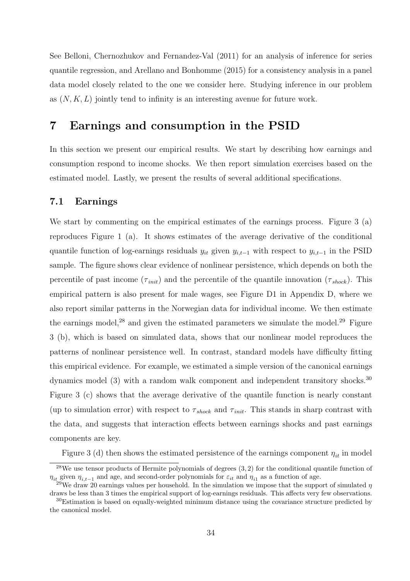See Belloni, Chernozhukov and Fernandez-Val (2011) for an analysis of inference for series quantile regression, and Arellano and Bonhomme (2015) for a consistency analysis in a panel data model closely related to the one we consider here. Studying inference in our problem as  $(N, K, L)$  jointly tend to infinity is an interesting avenue for future work.

### 7 Earnings and consumption in the PSID

In this section we present our empirical results. We start by describing how earnings and consumption respond to income shocks. We then report simulation exercises based on the estimated model. Lastly, we present the results of several additional specifications.

#### 7.1 Earnings

We start by commenting on the empirical estimates of the earnings process. Figure 3 (a) reproduces Figure 1 (a). It shows estimates of the average derivative of the conditional quantile function of log-earnings residuals  $y_{it}$  given  $y_{i,t-1}$  with respect to  $y_{i,t-1}$  in the PSID sample. The figure shows clear evidence of nonlinear persistence, which depends on both the percentile of past income  $(\tau_{init})$  and the percentile of the quantile innovation  $(\tau_{shock})$ . This empirical pattern is also present for male wages, see Figure D1 in Appendix D, where we also report similar patterns in the Norwegian data for individual income. We then estimate the earnings model,<sup>28</sup> and given the estimated parameters we simulate the model.<sup>29</sup> Figure 3 (b), which is based on simulated data, shows that our nonlinear model reproduces the patterns of nonlinear persistence well. In contrast, standard models have difficulty fitting this empirical evidence. For example, we estimated a simple version of the canonical earnings dynamics model (3) with a random walk component and independent transitory shocks.<sup>30</sup> Figure 3 (c) shows that the average derivative of the quantile function is nearly constant (up to simulation error) with respect to  $\tau_{shock}$  and  $\tau_{init}$ . This stands in sharp contrast with the data, and suggests that interaction effects between earnings shocks and past earnings components are key.

Figure 3 (d) then shows the estimated persistence of the earnings component  $\eta_{it}$  in model

 $28$ We use tensor products of Hermite polynomials of degrees  $(3, 2)$  for the conditional quantile function of  $\eta_{it}$  given  $\eta_{i,t-1}$  and age, and second-order polynomials for  $\varepsilon_{it}$  and  $\eta_{i1}$  as a function of age.

<sup>&</sup>lt;sup>29</sup>We draw 20 earnings values per household. In the simulation we impose that the support of simulated  $\eta$ draws be less than 3 times the empirical support of log-earnings residuals. This affects very few observations.

 $30$ Estimation is based on equally-weighted minimum distance using the covariance structure predicted by the canonical model.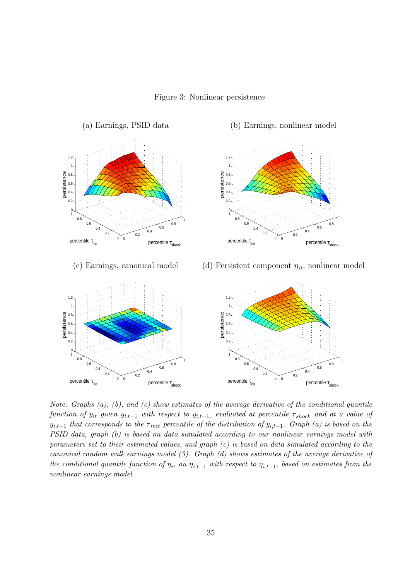Figure 3: Nonlinear persistence



Note: Graphs (a), (b), and (c) show estimates of the average derivative of the conditional quantile function of  $y_{it}$  given  $y_{i,t-1}$  with respect to  $y_{i,t-1}$ , evaluated at percentile  $\tau_{shock}$  and at a value of  $y_{i,t-1}$  that corresponds to the  $\tau_{init}$  percentile of the distribution of  $y_{i,t-1}$ . Graph (a) is based on the PSID data, graph (b) is based on data simulated according to our nonlinear earnings model with parameters set to their estimated values, and graph  $(c)$  is based on data simulated according to the canonical random walk earnings model (3). Graph (d) shows estimates of the average derivative of the conditional quantile function of  $\eta_{it}$  on  $\eta_{i,t-1}$  with respect to  $\eta_{i,t-1}$ , based on estimates from the nonlinear earnings model.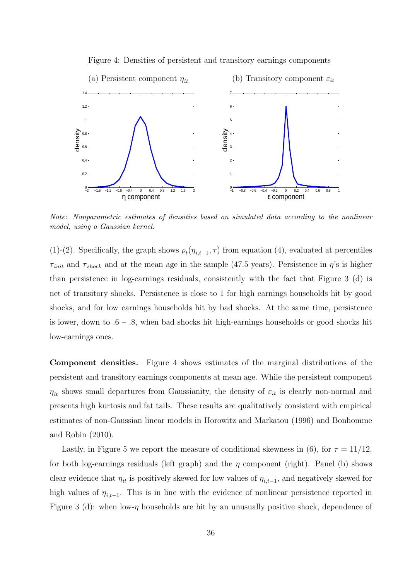

Figure 4: Densities of persistent and transitory earnings components

Note: Nonparametric estimates of densities based on simulated data according to the nonlinear model, using a Gaussian kernel.

(1)-(2). Specifically, the graph shows  $\rho_t(\eta_{i,t-1}, \tau)$  from equation (4), evaluated at percentiles  $\tau_{\text{init}}$  and  $\tau_{\text{shock}}$  and at the mean age in the sample (47.5 years). Persistence in  $\eta$ 's is higher than persistence in log-earnings residuals, consistently with the fact that Figure 3 (d) is net of transitory shocks. Persistence is close to 1 for high earnings households hit by good shocks, and for low earnings households hit by bad shocks. At the same time, persistence is lower, down to  $.6 - .8$ , when bad shocks hit high-earnings households or good shocks hit low-earnings ones.

Component densities. Figure 4 shows estimates of the marginal distributions of the persistent and transitory earnings components at mean age. While the persistent component  $\eta_{it}$  shows small departures from Gaussianity, the density of  $\varepsilon_{it}$  is clearly non-normal and presents high kurtosis and fat tails. These results are qualitatively consistent with empirical estimates of non-Gaussian linear models in Horowitz and Markatou (1996) and Bonhomme and Robin (2010).

Lastly, in Figure 5 we report the measure of conditional skewness in (6), for  $\tau = 11/12$ , for both log-earnings residuals (left graph) and the  $\eta$  component (right). Panel (b) shows clear evidence that  $\eta_{it}$  is positively skewed for low values of  $\eta_{i,t-1}$ , and negatively skewed for high values of  $\eta_{i,t-1}$ . This is in line with the evidence of nonlinear persistence reported in Figure 3 (d): when low- $\eta$  households are hit by an unusually positive shock, dependence of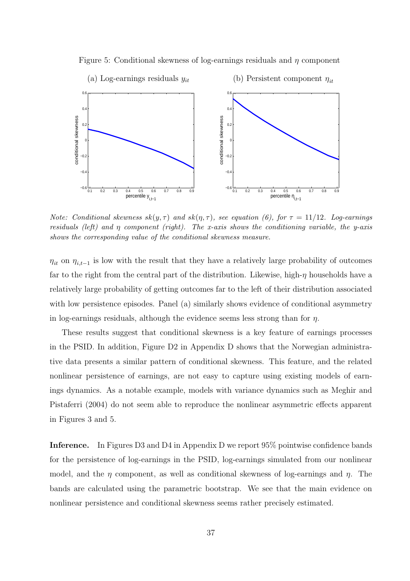

Figure 5: Conditional skewness of log-earnings residuals and  $\eta$  component

Note: Conditional skewness  $sk(y, \tau)$  and  $sk(\eta, \tau)$ , see equation (6), for  $\tau = 11/12$ . Log-earnings residuals (left) and  $\eta$  component (right). The x-axis shows the conditioning variable, the y-axis shows the corresponding value of the conditional skewness measure.

 $\eta_{it}$  on  $\eta_{i,t-1}$  is low with the result that they have a relatively large probability of outcomes far to the right from the central part of the distribution. Likewise, high-η households have a relatively large probability of getting outcomes far to the left of their distribution associated with low persistence episodes. Panel (a) similarly shows evidence of conditional asymmetry in log-earnings residuals, although the evidence seems less strong than for  $\eta$ .

These results suggest that conditional skewness is a key feature of earnings processes in the PSID. In addition, Figure D2 in Appendix D shows that the Norwegian administrative data presents a similar pattern of conditional skewness. This feature, and the related nonlinear persistence of earnings, are not easy to capture using existing models of earnings dynamics. As a notable example, models with variance dynamics such as Meghir and Pistaferri (2004) do not seem able to reproduce the nonlinear asymmetric effects apparent in Figures 3 and 5.

Inference. In Figures D3 and D4 in Appendix D we report 95% pointwise confidence bands for the persistence of log-earnings in the PSID, log-earnings simulated from our nonlinear model, and the  $\eta$  component, as well as conditional skewness of log-earnings and  $\eta$ . The bands are calculated using the parametric bootstrap. We see that the main evidence on nonlinear persistence and conditional skewness seems rather precisely estimated.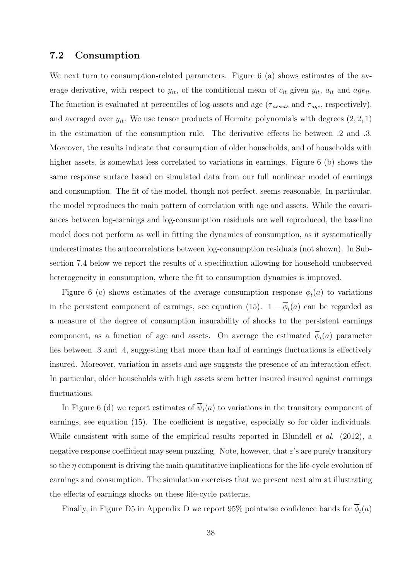#### 7.2 Consumption

We next turn to consumption-related parameters. Figure 6 (a) shows estimates of the average derivative, with respect to  $y_{it}$ , of the conditional mean of  $c_{it}$  given  $y_{it}$ ,  $a_{it}$  and  $age_{it}$ . The function is evaluated at percentiles of log-assets and age ( $\tau_{assets}$  and  $\tau_{age}$ , respectively), and averaged over  $y_{it}$ . We use tensor products of Hermite polynomials with degrees  $(2, 2, 1)$ in the estimation of the consumption rule. The derivative effects lie between .2 and .3. Moreover, the results indicate that consumption of older households, and of households with higher assets, is somewhat less correlated to variations in earnings. Figure 6 (b) shows the same response surface based on simulated data from our full nonlinear model of earnings and consumption. The fit of the model, though not perfect, seems reasonable. In particular, the model reproduces the main pattern of correlation with age and assets. While the covariances between log-earnings and log-consumption residuals are well reproduced, the baseline model does not perform as well in fitting the dynamics of consumption, as it systematically underestimates the autocorrelations between log-consumption residuals (not shown). In Subsection 7.4 below we report the results of a specification allowing for household unobserved heterogeneity in consumption, where the fit to consumption dynamics is improved.

Figure 6 (c) shows estimates of the average consumption response  $\phi_t(a)$  to variations in the persistent component of earnings, see equation (15).  $1 - \phi_t(a)$  can be regarded as a measure of the degree of consumption insurability of shocks to the persistent earnings component, as a function of age and assets. On average the estimated  $\phi_t(a)$  parameter lies between .3 and .4, suggesting that more than half of earnings fluctuations is effectively insured. Moreover, variation in assets and age suggests the presence of an interaction effect. In particular, older households with high assets seem better insured insured against earnings fluctuations.

In Figure 6 (d) we report estimates of  $\psi_t(a)$  to variations in the transitory component of earnings, see equation (15). The coefficient is negative, especially so for older individuals. While consistent with some of the empirical results reported in Blundell *et al.* (2012), a negative response coefficient may seem puzzling. Note, however, that  $\varepsilon$ 's are purely transitory so the  $\eta$  component is driving the main quantitative implications for the life-cycle evolution of earnings and consumption. The simulation exercises that we present next aim at illustrating the effects of earnings shocks on these life-cycle patterns.

Finally, in Figure D5 in Appendix D we report 95% pointwise confidence bands for  $\phi_t(a)$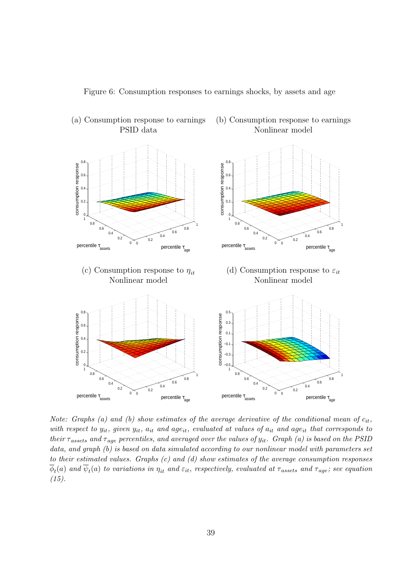Figure 6: Consumption responses to earnings shocks, by assets and age



(a) Consumption response to earnings (b) Consumption response to earnings

PSID data Nonlinear model

Note: Graphs (a) and (b) show estimates of the average derivative of the conditional mean of  $c_{it}$ , with respect to  $y_{it}$ , given  $y_{it}$ ,  $a_{it}$  and  $age_{it}$ , evaluated at values of  $a_{it}$  and  $age_{it}$  that corresponds to their  $\tau_{assets}$  and  $\tau_{age}$  percentiles, and averaged over the values of  $y_{it}$ . Graph (a) is based on the PSID data, and graph (b) is based on data simulated according to our nonlinear model with parameters set to their estimated values. Graphs (c) and (d) show estimates of the average consumption responses  $\phi_t(a)$  and  $\psi_t(a)$  to variations in  $\eta_{it}$  and  $\varepsilon_{it},$  respectively, evaluated at  $\tau_{assets}$  and  $\tau_{age};$  see equation  $(15).$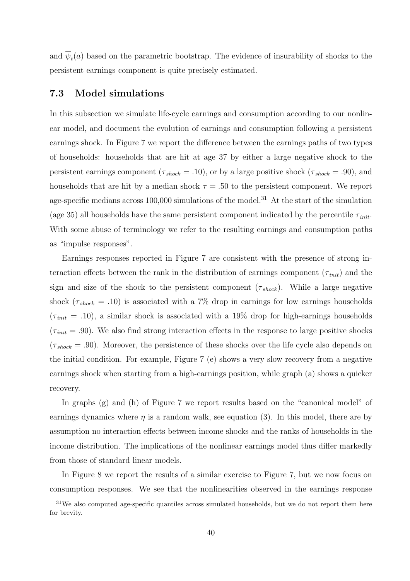and  $\psi_t(a)$  based on the parametric bootstrap. The evidence of insurability of shocks to the persistent earnings component is quite precisely estimated.

#### 7.3 Model simulations

In this subsection we simulate life-cycle earnings and consumption according to our nonlinear model, and document the evolution of earnings and consumption following a persistent earnings shock. In Figure 7 we report the difference between the earnings paths of two types of households: households that are hit at age 37 by either a large negative shock to the persistent earnings component ( $\tau_{shock} = .10$ ), or by a large positive shock ( $\tau_{shock} = .90$ ), and households that are hit by a median shock  $\tau = .50$  to the persistent component. We report age-specific medians across  $100,000$  simulations of the model.<sup>31</sup> At the start of the simulation (age 35) all households have the same persistent component indicated by the percentile  $\tau_{init}$ . With some abuse of terminology we refer to the resulting earnings and consumption paths as "impulse responses".

Earnings responses reported in Figure 7 are consistent with the presence of strong interaction effects between the rank in the distribution of earnings component  $(\tau_{\text{init}})$  and the sign and size of the shock to the persistent component  $(\tau_{shock})$ . While a large negative shock ( $\tau_{shock} = .10$ ) is associated with a 7% drop in earnings for low earnings households  $(\tau_{init} = .10)$ , a similar shock is associated with a 19% drop for high-earnings households  $(\tau_{\text{init}} = .90)$ . We also find strong interaction effects in the response to large positive shocks  $(\tau_{shock} = .90)$ . Moreover, the persistence of these shocks over the life cycle also depends on the initial condition. For example, Figure 7 (e) shows a very slow recovery from a negative earnings shock when starting from a high-earnings position, while graph (a) shows a quicker recovery.

In graphs (g) and (h) of Figure 7 we report results based on the "canonical model" of earnings dynamics where  $\eta$  is a random walk, see equation (3). In this model, there are by assumption no interaction effects between income shocks and the ranks of households in the income distribution. The implications of the nonlinear earnings model thus differ markedly from those of standard linear models.

In Figure 8 we report the results of a similar exercise to Figure 7, but we now focus on consumption responses. We see that the nonlinearities observed in the earnings response

 $31\text{We also computed age-specific quantiles across simulated households, but we do not report them here}$ for brevity.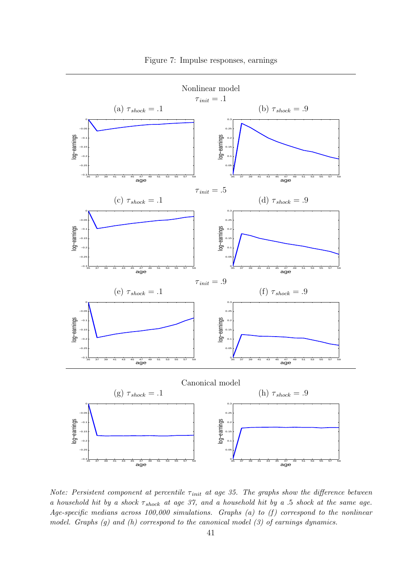

Figure 7: Impulse responses, earnings

Note: Persistent component at percentile  $\tau_{init}$  at age 35. The graphs show the difference between a household hit by a shock  $\tau_{shock}$  at age 37, and a household hit by a .5 shock at the same age. Age-specific medians across 100,000 simulations. Graphs (a) to (f) correspond to the nonlinear model. Graphs (g) and (h) correspond to the canonical model (3) of earnings dynamics.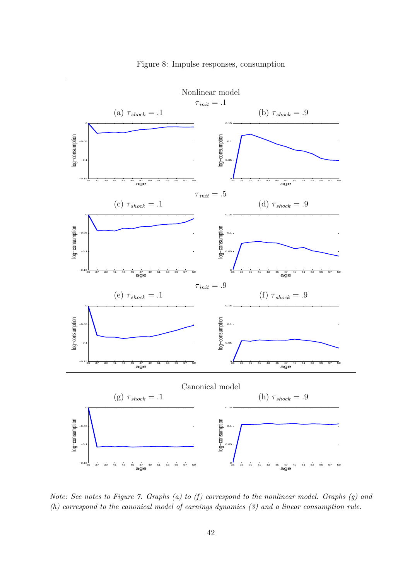

Figure 8: Impulse responses, consumption

Note: See notes to Figure 7. Graphs (a) to  $(f)$  correspond to the nonlinear model. Graphs (g) and (h) correspond to the canonical model of earnings dynamics (3) and a linear consumption rule.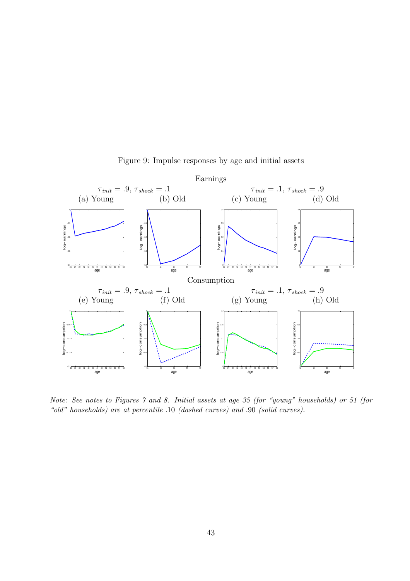

Figure 9: Impulse responses by age and initial assets

Note: See notes to Figures 7 and 8. Initial assets at age 35 (for "young" households) or 51 (for "old" households) are at percentile .10 (dashed curves) and .90 (solid curves).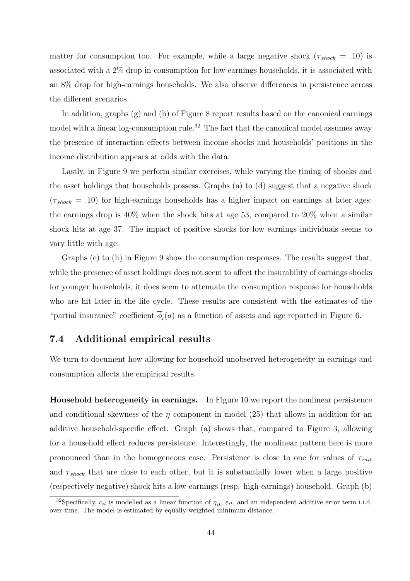matter for consumption too. For example, while a large negative shock ( $\tau_{shock}$  = .10) is associated with a 2% drop in consumption for low earnings households, it is associated with an 8% drop for high-earnings households. We also observe differences in persistence across the different scenarios.

In addition, graphs (g) and (h) of Figure 8 report results based on the canonical earnings model with a linear log-consumption rule.<sup>32</sup> The fact that the canonical model assumes away the presence of interaction effects between income shocks and households' positions in the income distribution appears at odds with the data.

Lastly, in Figure 9 we perform similar exercises, while varying the timing of shocks and the asset holdings that households possess. Graphs (a) to (d) suggest that a negative shock  $(\tau_{shock} = .10)$  for high-earnings households has a higher impact on earnings at later ages: the earnings drop is 40% when the shock hits at age 53, compared to 20% when a similar shock hits at age 37. The impact of positive shocks for low earnings individuals seems to vary little with age.

Graphs (e) to (h) in Figure 9 show the consumption responses. The results suggest that, while the presence of asset holdings does not seem to affect the insurability of earnings shocks for younger households, it does seem to attenuate the consumption response for households who are hit later in the life cycle. These results are consistent with the estimates of the "partial insurance" coefficient  $\phi_t(a)$  as a function of assets and age reported in Figure 6.

#### 7.4 Additional empirical results

We turn to document how allowing for household unobserved heterogeneity in earnings and consumption affects the empirical results.

Household heterogeneity in earnings. In Figure 10 we report the nonlinear persistence and conditional skewness of the  $\eta$  component in model (25) that allows in addition for an additive household-specific effect. Graph (a) shows that, compared to Figure 3, allowing for a household effect reduces persistence. Interestingly, the nonlinear pattern here is more pronounced than in the homogeneous case. Persistence is close to one for values of  $\tau_{init}$ and  $\tau_{shock}$  that are close to each other, but it is substantially lower when a large positive (respectively negative) shock hits a low-earnings (resp. high-earnings) household. Graph (b)

<sup>&</sup>lt;sup>32</sup>Specifically,  $c_{it}$  is modelled as a linear function of  $\eta_{it}$ ,  $\varepsilon_{it}$ , and an independent additive error term i.i.d. over time. The model is estimated by equally-weighted minimum distance.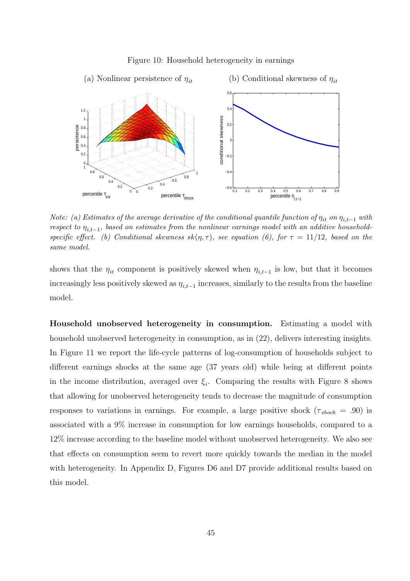

#### Figure 10: Household heterogeneity in earnings

Note: (a) Estimates of the average derivative of the conditional quantile function of  $\eta_{it}$  on  $\eta_{it-1}$  with  $\mathit{respect\ to\ }\eta_{i,t-1},\ \mathit{based\ on\ estimates\ from\ the\ nonlinear\ earnings\ model\ with\ an\ additive\ household-}$ specific effect. (b) Conditional skewness  $sk(\eta, \tau)$ , see equation (6), for  $\tau = 11/12$ , based on the same model.

shows that the  $\eta_{it}$  component is positively skewed when  $\eta_{i,t-1}$  is low, but that it becomes increasingly less positively skewed as  $\eta_{i,t-1}$  increases, similarly to the results from the baseline model.

Household unobserved heterogeneity in consumption. Estimating a model with household unobserved heterogeneity in consumption, as in (22), delivers interesting insights. In Figure 11 we report the life-cycle patterns of log-consumption of households subject to different earnings shocks at the same age (37 years old) while being at different points in the income distribution, averaged over  $\xi_i$ . Comparing the results with Figure 8 shows that allowing for unobserved heterogeneity tends to decrease the magnitude of consumption responses to variations in earnings. For example, a large positive shock ( $\tau_{shock} = .90$ ) is associated with a 9% increase in consumption for low earnings households, compared to a 12% increase according to the baseline model without unobserved heterogeneity. We also see that effects on consumption seem to revert more quickly towards the median in the model with heterogeneity. In Appendix D, Figures D6 and D7 provide additional results based on this model.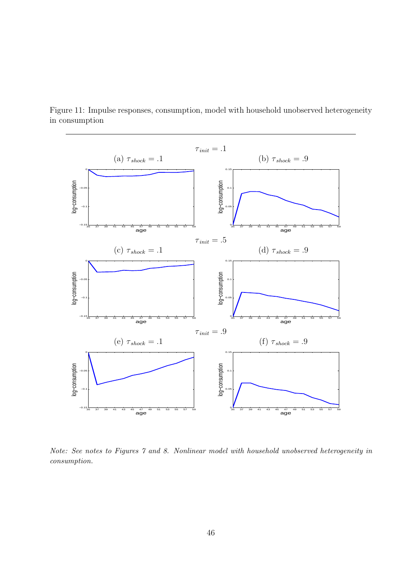

Figure 11: Impulse responses, consumption, model with household unobserved heterogeneity in consumption

Note: See notes to Figures 7 and 8. Nonlinear model with household unobserved heterogeneity in consumption.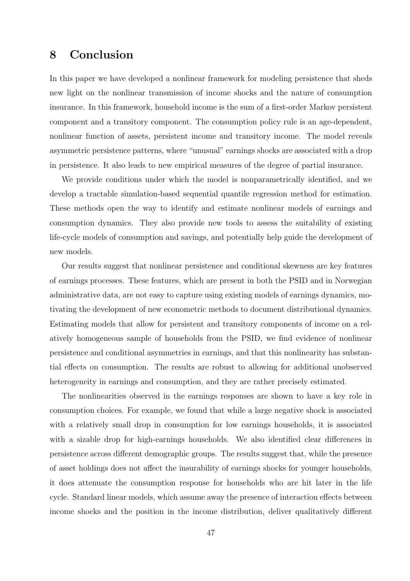### 8 Conclusion

In this paper we have developed a nonlinear framework for modeling persistence that sheds new light on the nonlinear transmission of income shocks and the nature of consumption insurance. In this framework, household income is the sum of a first-order Markov persistent component and a transitory component. The consumption policy rule is an age-dependent, nonlinear function of assets, persistent income and transitory income. The model reveals asymmetric persistence patterns, where "unusual" earnings shocks are associated with a drop in persistence. It also leads to new empirical measures of the degree of partial insurance.

We provide conditions under which the model is nonparametrically identified, and we develop a tractable simulation-based sequential quantile regression method for estimation. These methods open the way to identify and estimate nonlinear models of earnings and consumption dynamics. They also provide new tools to assess the suitability of existing life-cycle models of consumption and savings, and potentially help guide the development of new models.

Our results suggest that nonlinear persistence and conditional skewness are key features of earnings processes. These features, which are present in both the PSID and in Norwegian administrative data, are not easy to capture using existing models of earnings dynamics, motivating the development of new econometric methods to document distributional dynamics. Estimating models that allow for persistent and transitory components of income on a relatively homogeneous sample of households from the PSID, we find evidence of nonlinear persistence and conditional asymmetries in earnings, and that this nonlinearity has substantial effects on consumption. The results are robust to allowing for additional unobserved heterogeneity in earnings and consumption, and they are rather precisely estimated.

The nonlinearities observed in the earnings responses are shown to have a key role in consumption choices. For example, we found that while a large negative shock is associated with a relatively small drop in consumption for low earnings households, it is associated with a sizable drop for high-earnings households. We also identified clear differences in persistence across different demographic groups. The results suggest that, while the presence of asset holdings does not affect the insurability of earnings shocks for younger households, it does attenuate the consumption response for households who are hit later in the life cycle. Standard linear models, which assume away the presence of interaction effects between income shocks and the position in the income distribution, deliver qualitatively different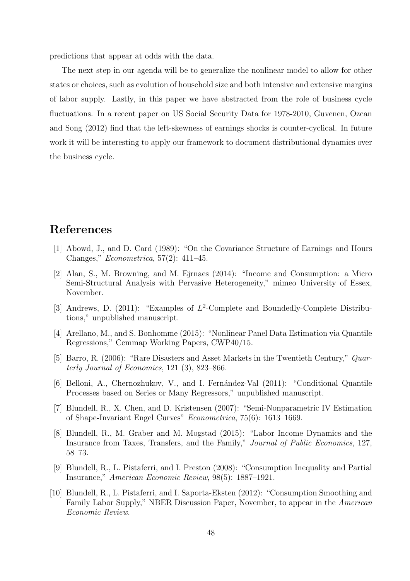predictions that appear at odds with the data.

The next step in our agenda will be to generalize the nonlinear model to allow for other states or choices, such as evolution of household size and both intensive and extensive margins of labor supply. Lastly, in this paper we have abstracted from the role of business cycle fluctuations. In a recent paper on US Social Security Data for 1978-2010, Guvenen, Ozcan and Song (2012) find that the left-skewness of earnings shocks is counter-cyclical. In future work it will be interesting to apply our framework to document distributional dynamics over the business cycle.

### References

- [1] Abowd, J., and D. Card (1989): "On the Covariance Structure of Earnings and Hours Changes," *Econometrica*, 57(2): 411–45.
- [2] Alan, S., M. Browning, and M. Ejrnaes (2014): "Income and Consumption: a Micro Semi-Structural Analysis with Pervasive Heterogeneity," mimeo University of Essex, November.
- [3] Andrews, D. (2011): "Examples of  $L^2$ -Complete and Boundedly-Complete Distributions," unpublished manuscript.
- [4] Arellano, M., and S. Bonhomme (2015): "Nonlinear Panel Data Estimation via Quantile Regressions," Cemmap Working Papers, CWP40/15.
- [5] Barro, R. (2006): "Rare Disasters and Asset Markets in the Twentieth Century," *Quarterly Journal of Economics*, 121 (3), 823–866.
- [6] Belloni, A., Chernozhukov, V., and I. Fernández-Val (2011): "Conditional Quantile Processes based on Series or Many Regressors," unpublished manuscript.
- [7] Blundell, R., X. Chen, and D. Kristensen (2007): "Semi-Nonparametric IV Estimation of Shape-Invariant Engel Curves" *Econometrica*, 75(6): 1613–1669.
- [8] Blundell, R., M. Graber and M. Mogstad (2015): "Labor Income Dynamics and the Insurance from Taxes, Transfers, and the Family," *Journal of Public Economics*, 127, 58–73.
- [9] Blundell, R., L. Pistaferri, and I. Preston (2008): "Consumption Inequality and Partial Insurance," *American Economic Review*, 98(5): 1887–1921.
- [10] Blundell, R., L. Pistaferri, and I. Saporta-Eksten (2012): "Consumption Smoothing and Family Labor Supply," NBER Discussion Paper, November, to appear in the *American Economic Review*.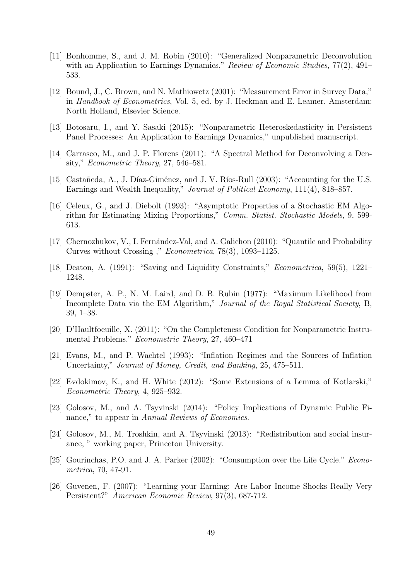- [11] Bonhomme, S., and J. M. Robin (2010): "Generalized Nonparametric Deconvolution with an Application to Earnings Dynamics," *Review of Economic Studies*, 77(2), 491– 533.
- [12] Bound, J., C. Brown, and N. Mathiowetz (2001): "Measurement Error in Survey Data," in *Handbook of Econometrics*, Vol. 5, ed. by J. Heckman and E. Leamer. Amsterdam: North Holland, Elsevier Science.
- [13] Botosaru, I., and Y. Sasaki (2015): "Nonparametric Heteroskedasticity in Persistent Panel Processes: An Application to Earnings Dynamics," unpublished manuscript.
- [14] Carrasco, M., and J. P. Florens (2011): "A Spectral Method for Deconvolving a Density," *Econometric Theory*, 27, 546–581.
- [15] Castañeda, A., J. Díaz-Giménez, and J. V. Ríos-Rull (2003): "Accounting for the U.S. Earnings and Wealth Inequality," *Journal of Political Economy*, 111(4), 818–857.
- [16] Celeux, G., and J. Diebolt (1993): "Asymptotic Properties of a Stochastic EM Algorithm for Estimating Mixing Proportions," *Comm. Statist. Stochastic Models*, 9, 599- 613.
- [17] Chernozhukov, V., I. Fernández-Val, and A. Galichon (2010): "Quantile and Probability Curves without Crossing ," *Econometrica*, 78(3), 1093–1125.
- [18] Deaton, A. (1991): "Saving and Liquidity Constraints," *Econometrica*, 59(5), 1221– 1248.
- [19] Dempster, A. P., N. M. Laird, and D. B. Rubin (1977): "Maximum Likelihood from Incomplete Data via the EM Algorithm," *Journal of the Royal Statistical Society*, B, 39, 1–38.
- [20] D'Haultfoeuille, X. (2011): "On the Completeness Condition for Nonparametric Instrumental Problems," *Econometric Theory*, 27, 460–471
- [21] Evans, M., and P. Wachtel (1993): "Inflation Regimes and the Sources of Inflation Uncertainty," *Journal of Money, Credit, and Banking*, 25, 475–511.
- [22] Evdokimov, K., and H. White (2012): "Some Extensions of a Lemma of Kotlarski," *Econometric Theory*, 4, 925–932.
- [23] Golosov, M., and A. Tsyvinski (2014): "Policy Implications of Dynamic Public Finance," to appear in *Annual Reviews of Economics*.
- [24] Golosov, M., M. Troshkin, and A. Tsyvinski (2013): "Redistribution and social insurance, " working paper, Princeton University.
- [25] Gourinchas, P.O. and J. A. Parker (2002): "Consumption over the Life Cycle." *Econometrica*, 70, 47-91.
- [26] Guvenen, F. (2007): "Learning your Earning: Are Labor Income Shocks Really Very Persistent?" *American Economic Review*, 97(3), 687-712.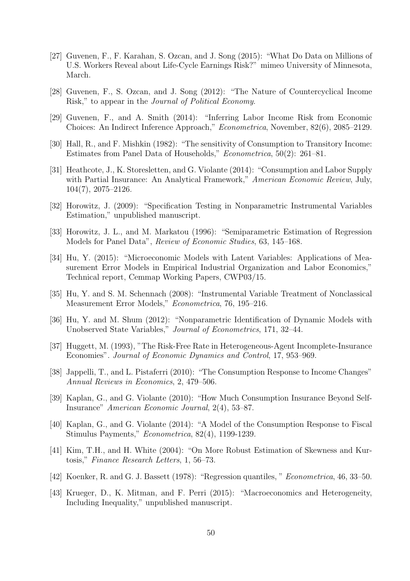- [27] Guvenen, F., F. Karahan, S. Ozcan, and J. Song (2015): "What Do Data on Millions of U.S. Workers Reveal about Life-Cycle Earnings Risk?" mimeo University of Minnesota, March.
- [28] Guvenen, F., S. Ozcan, and J. Song (2012): "The Nature of Countercyclical Income Risk," to appear in the *Journal of Political Economy*.
- [29] Guvenen, F., and A. Smith (2014): "Inferring Labor Income Risk from Economic Choices: An Indirect Inference Approach," *Econometrica*, November, 82(6), 2085–2129.
- [30] Hall, R., and F. Mishkin (1982): "The sensitivity of Consumption to Transitory Income: Estimates from Panel Data of Households," *Econometrica*, 50(2): 261–81.
- [31] Heathcote, J., K. Storesletten, and G. Violante (2014): "Consumption and Labor Supply with Partial Insurance: An Analytical Framework," *American Economic Review*, July, 104(7), 2075–2126.
- [32] Horowitz, J. (2009): "Specification Testing in Nonparametric Instrumental Variables Estimation," unpublished manuscript.
- [33] Horowitz, J. L., and M. Markatou (1996): "Semiparametric Estimation of Regression Models for Panel Data", *Review of Economic Studies*, 63, 145–168.
- [34] Hu, Y. (2015): "Microeconomic Models with Latent Variables: Applications of Measurement Error Models in Empirical Industrial Organization and Labor Economics," Technical report, Cemmap Working Papers, CWP03/15.
- [35] Hu, Y. and S. M. Schennach (2008): "Instrumental Variable Treatment of Nonclassical Measurement Error Models," *Econometrica*, 76, 195–216.
- [36] Hu, Y. and M. Shum (2012): "Nonparametric Identification of Dynamic Models with Unobserved State Variables," *Journal of Econometrics*, 171, 32–44.
- [37] Huggett, M. (1993), "The Risk-Free Rate in Heterogeneous-Agent Incomplete-Insurance Economies". *Journal of Economic Dynamics and Control*, 17, 953–969.
- [38] Jappelli, T., and L. Pistaferri (2010): "The Consumption Response to Income Changes" *Annual Reviews in Economics*, 2, 479–506.
- [39] Kaplan, G., and G. Violante (2010): "How Much Consumption Insurance Beyond Self-Insurance" *American Economic Journal*, 2(4), 53–87.
- [40] Kaplan, G., and G. Violante (2014): "A Model of the Consumption Response to Fiscal Stimulus Payments," *Econometrica*, 82(4), 1199-1239.
- [41] Kim, T.H., and H. White (2004): "On More Robust Estimation of Skewness and Kurtosis," *Finance Research Letters*, 1, 56–73.
- [42] Koenker, R. and G. J. Bassett (1978): "Regression quantiles, " *Econometrica*, 46, 33–50.
- [43] Krueger, D., K. Mitman, and F. Perri (2015): "Macroeconomics and Heterogeneity, Including Inequality," unpublished manuscript.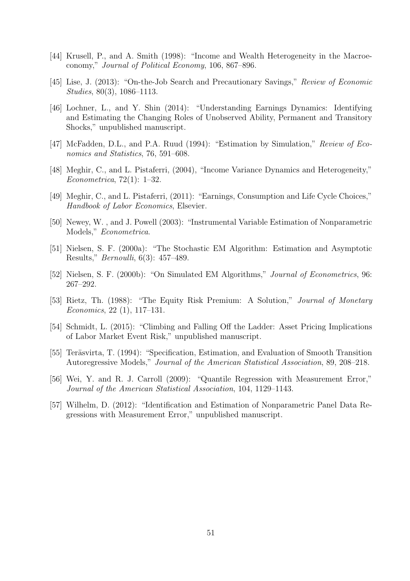- [44] Krusell, P., and A. Smith (1998): "Income and Wealth Heterogeneity in the Macroeconomy," *Journal of Political Economy*, 106, 867–896.
- [45] Lise, J. (2013): "On-the-Job Search and Precautionary Savings," *Review of Economic Studies*, 80(3), 1086–1113.
- [46] Lochner, L., and Y. Shin (2014): "Understanding Earnings Dynamics: Identifying and Estimating the Changing Roles of Unobserved Ability, Permanent and Transitory Shocks," unpublished manuscript.
- [47] McFadden, D.L., and P.A. Ruud (1994): "Estimation by Simulation," *Review of Economics and Statistics*, 76, 591–608.
- [48] Meghir, C., and L. Pistaferri, (2004), "Income Variance Dynamics and Heterogeneity," *Econometrica*, 72(1): 1–32.
- [49] Meghir, C., and L. Pistaferri, (2011): "Earnings, Consumption and Life Cycle Choices," *Handbook of Labor Economics*, Elsevier.
- [50] Newey, W. , and J. Powell (2003): "Instrumental Variable Estimation of Nonparametric Models," *Econometrica*.
- [51] Nielsen, S. F. (2000a): "The Stochastic EM Algorithm: Estimation and Asymptotic Results," *Bernoulli*, 6(3): 457–489.
- [52] Nielsen, S. F. (2000b): "On Simulated EM Algorithms," *Journal of Econometrics*, 96: 267–292.
- [53] Rietz, Th. (1988): "The Equity Risk Premium: A Solution," *Journal of Monetary Economics*, 22 (1), 117–131.
- [54] Schmidt, L. (2015): "Climbing and Falling Off the Ladder: Asset Pricing Implications of Labor Market Event Risk," unpublished manuscript.
- [55] Teräsvirta, T. (1994): "Specification, Estimation, and Evaluation of Smooth Transition Autoregressive Models," *Journal of the American Statistical Association*, 89, 208–218.
- [56] Wei, Y. and R. J. Carroll (2009): "Quantile Regression with Measurement Error," *Journal of the American Statistical Association*, 104, 1129–1143.
- [57] Wilhelm, D. (2012): "Identification and Estimation of Nonparametric Panel Data Regressions with Measurement Error," unpublished manuscript.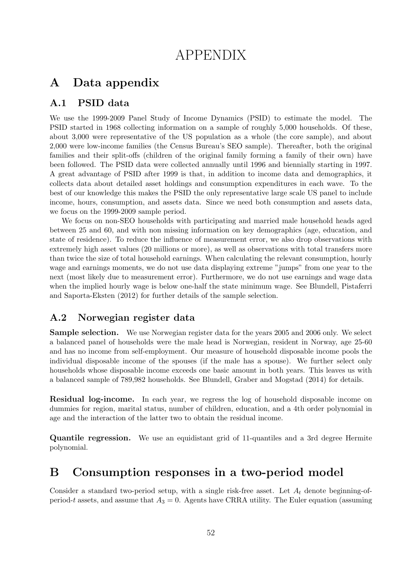# APPENDIX

### A Data appendix

#### A.1 PSID data

We use the 1999-2009 Panel Study of Income Dynamics (PSID) to estimate the model. The PSID started in 1968 collecting information on a sample of roughly 5,000 households. Of these, about 3,000 were representative of the US population as a whole (the core sample), and about 2,000 were low-income families (the Census Bureau's SEO sample). Thereafter, both the original families and their split-offs (children of the original family forming a family of their own) have been followed. The PSID data were collected annually until 1996 and biennially starting in 1997. A great advantage of PSID after 1999 is that, in addition to income data and demographics, it collects data about detailed asset holdings and consumption expenditures in each wave. To the best of our knowledge this makes the PSID the only representative large scale US panel to include income, hours, consumption, and assets data. Since we need both consumption and assets data, we focus on the 1999-2009 sample period.

We focus on non-SEO households with participating and married male household heads aged between 25 and 60, and with non missing information on key demographics (age, education, and state of residence). To reduce the influence of measurement error, we also drop observations with extremely high asset values (20 millions or more), as well as observations with total transfers more than twice the size of total household earnings. When calculating the relevant consumption, hourly wage and earnings moments, we do not use data displaying extreme "jumps" from one year to the next (most likely due to measurement error). Furthermore, we do not use earnings and wage data when the implied hourly wage is below one-half the state minimum wage. See Blundell, Pistaferri and Saporta-Eksten (2012) for further details of the sample selection.

#### A.2 Norwegian register data

Sample selection. We use Norwegian register data for the years 2005 and 2006 only. We select a balanced panel of households were the male head is Norwegian, resident in Norway, age 25-60 and has no income from self-employment. Our measure of household disposable income pools the individual disposable income of the spouses (if the male has a spouse). We further select only households whose disposable income exceeds one basic amount in both years. This leaves us with a balanced sample of 789,982 households. See Blundell, Graber and Mogstad (2014) for details.

**Residual log-income.** In each year, we regress the log of household disposable income on dummies for region, marital status, number of children, education, and a 4th order polynomial in age and the interaction of the latter two to obtain the residual income.

Quantile regression. We use an equidistant grid of 11-quantiles and a 3rd degree Hermite polynomial.

### B Consumption responses in a two-period model

Consider a standard two-period setup, with a single risk-free asset. Let  $A_t$  denote beginning-ofperiod-t assets, and assume that  $A_3 = 0$ . Agents have CRRA utility. The Euler equation (assuming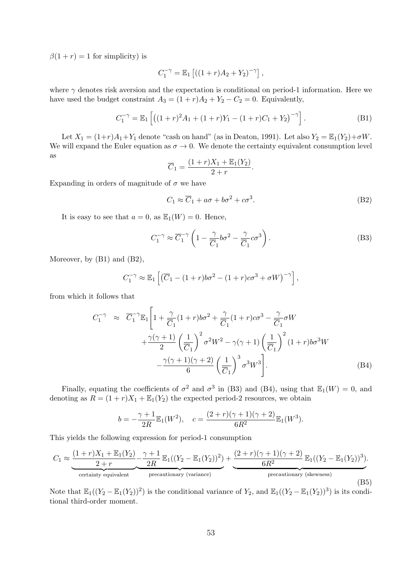$\beta(1 + r) = 1$  for simplicity) is

$$
C_1^{-\gamma} = \mathbb{E}_1 [(1+r)A_2 + Y_2)^{-\gamma}],
$$

where  $\gamma$  denotes risk aversion and the expectation is conditional on period-1 information. Here we have used the budget constraint  $A_3 = (1 + r)A_2 + Y_2 - C_2 = 0$ . Equivalently,

$$
C_1^{-\gamma} = \mathbb{E}_1 \left[ \left( (1+r)^2 A_1 + (1+r) Y_1 - (1+r) C_1 + Y_2 \right)^{-\gamma} \right]. \tag{B1}
$$

Let  $X_1 = (1+r)A_1 + Y_1$  denote "cash on hand" (as in Deaton, 1991). Let also  $Y_2 = \mathbb{E}_1(Y_2) + \sigma W$ . We will expand the Euler equation as  $\sigma \to 0$ . We denote the certainty equivalent consumption level as

$$
\overline{C}_1 = \frac{(1+r)X_1 + \mathbb{E}_1(Y_2)}{2+r}.
$$

Expanding in orders of magnitude of  $\sigma$  we have

$$
C_1 \approx \overline{C}_1 + a\sigma + b\sigma^2 + c\sigma^3. \tag{B2}
$$

It is easy to see that  $a = 0$ , as  $\mathbb{E}_1(W) = 0$ . Hence,

$$
C_1^{-\gamma} \approx \overline{C}_1^{-\gamma} \left( 1 - \frac{\gamma}{\overline{C}_1} b \sigma^2 - \frac{\gamma}{\overline{C}_1} c \sigma^3 \right). \tag{B3}
$$

Moreover, by  $(B1)$  and  $(B2)$ ,

$$
C_1^{-\gamma} \approx \mathbb{E}_1 \left[ \left( \overline{C}_1 - (1+r)b\sigma^2 - (1+r)c\sigma^3 + \sigma W \right)^{-\gamma} \right],
$$

from which it follows that

$$
C_1^{-\gamma} \approx \overline{C}_1^{-\gamma} \mathbb{E}_1 \left[ 1 + \frac{\gamma}{\overline{C}_1} (1+r) b \sigma^2 + \frac{\gamma}{\overline{C}_1} (1+r) c \sigma^3 - \frac{\gamma}{\overline{C}_1} \sigma W + \frac{\gamma(\gamma+1)}{2} \left( \frac{1}{\overline{C}_1} \right)^2 \sigma^2 W^2 - \gamma(\gamma+1) \left( \frac{1}{\overline{C}_1} \right)^2 (1+r) b \sigma^3 W - \frac{\gamma(\gamma+1)(\gamma+2)}{6} \left( \frac{1}{\overline{C}_1} \right)^3 \sigma^3 W^3 \right].
$$
\n(B4)

Finally, equating the coefficients of  $\sigma^2$  and  $\sigma^3$  in (B3) and (B4), using that  $\mathbb{E}_1(W) = 0$ , and denoting as  $R = (1 + r)X_1 + \mathbb{E}_1(Y_2)$  the expected period-2 resources, we obtain

$$
b = -\frac{\gamma + 1}{2R} \mathbb{E}_1(W^2), \quad c = \frac{(2+r)(\gamma + 1)(\gamma + 2)}{6R^2} \mathbb{E}_1(W^3).
$$

This yields the following expression for period-1 consumption

$$
C_1 \approx \underbrace{\frac{(1+r)X_1 + \mathbb{E}_1(Y_2)}{2+r} - \frac{\gamma+1}{2R} \mathbb{E}_1((Y_2 - \mathbb{E}_1(Y_2))^2)}_{\text{certainty equivalent}} + \underbrace{\frac{(2+r)(\gamma+1)(\gamma+2)}{6R^2} \mathbb{E}_1((Y_2 - \mathbb{E}_1(Y_2))^3)}_{\text{precautionary (skewness)}}.
$$
\n(B5)

Note that  $\mathbb{E}_1((Y_2 - \mathbb{E}_1(Y_2))^2)$  is the conditional variance of  $Y_2$ , and  $\mathbb{E}_1((Y_2 - \mathbb{E}_1(Y_2))^3)$  is its conditional third-order moment.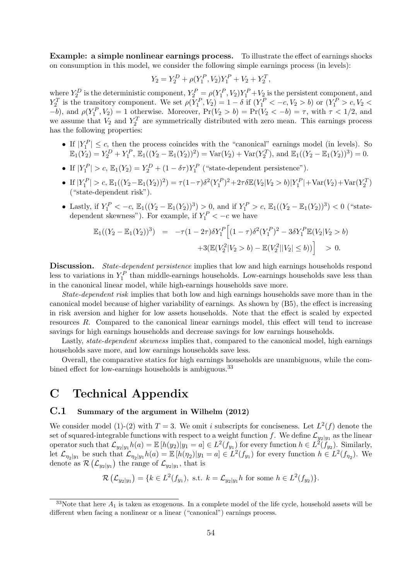Example: a simple nonlinear earnings process. To illustrate the effect of earnings shocks on consumption in this model, we consider the following simple earnings process (in levels):

$$
Y_2 = Y_2^D + \rho(Y_1^P, V_2)Y_1^P + V_2 + Y_2^T,
$$

where  $Y_2^D$  is the deterministic component,  $Y_2^P = \rho(Y_1^P, V_2)Y_1^P + V_2$  is the persistent component, and  $Y_2^T$  is the transitory component. We set  $\rho(Y_1^P, V_2) = 1 - \delta$  if  $(Y_1^P < -c, V_2 > b)$  or  $(Y_1^P > c, V_2 < b)$  $(-b)$ , and  $\rho(Y_1^P, V_2) = 1$  otherwise. Moreover,  $Pr(V_2 > b) = Pr(V_2 < -b) = \tau$ , with  $\tau < 1/2$ , and we assume that  $V_2$  and  $Y_2^T$  are symmetrically distributed with zero mean. This earnings process has the following properties:

- If  $|Y_1^P| \leq c$ , then the process coincides with the "canonical" earnings model (in levels). So  $\mathbb{E}_1(Y_2) = Y_2^D + Y_1^P$ ,  $\mathbb{E}_1((Y_2 - \mathbb{E}_1(Y_2))^2) = \text{Var}(V_2) + \text{Var}(Y_2^T)$ , and  $\mathbb{E}_1((Y_2 - \mathbb{E}_1(Y_2))^3) = 0$ .
- If  $|Y_1^P| > c$ ,  $\mathbb{E}_1(Y_2) = Y_2^D + (1 \delta \tau) Y_1^P$  ("state-dependent persistence").
- If  $|Y_1^P| > c$ ,  $\mathbb{E}_1((Y_2 \mathbb{E}_1(Y_2))^2) = \tau(1-\tau)\delta^2(Y_1^P)^2 + 2\tau\delta \mathbb{E}(V_2|V_2 > b)|Y_1^P| + \text{Var}(V_2) + \text{Var}(Y_2^T)$ ("state-dependent risk").
- Lastly, if  $Y_1^P < -c$ ,  $\mathbb{E}_1((Y_2 \mathbb{E}_1(Y_2))^3) > 0$ , and if  $Y_1^P > c$ ,  $\mathbb{E}_1((Y_2 \mathbb{E}_1(Y_2))^3) < 0$  ("statedependent skewness"). For example, if  $Y_1^P < -c$  we have

$$
\mathbb{E}_1((Y_2 - \mathbb{E}_1(Y_2))^3) = -\tau (1 - 2\tau) \delta Y_1^P \Big[ (1 - \tau) \delta^2 (Y_1^P)^2 - 3\delta Y_1^P \mathbb{E}(V_2 | V_2 > b) \n+3(\mathbb{E}(V_2^2 | V_2 > b) - \mathbb{E}(V_2^2 || V_2| \le b)) \Big] > 0.
$$

Discussion. State-dependent persistence implies that low and high earnings households respond less to variations in  $Y_1^P$  than middle-earnings households. Low-earnings households save less than in the canonical linear model, while high-earnings households save more.

State-dependent risk implies that both low and high earnings households save more than in the canonical model because of higher variability of earnings. As shown by (B5), the effect is increasing in risk aversion and higher for low assets households. Note that the effect is scaled by expected resources R. Compared to the canonical linear earnings model, this effect will tend to increase savings for high earnings households and decrease savings for low earnings households.

Lastly, *state-dependent skewness* implies that, compared to the canonical model, high earnings households save more, and low earnings households save less.

Overall, the comparative statics for high earnings households are unambiguous, while the combined effect for low-earnings households is ambiguous.<sup>33</sup>

### C Technical Appendix

#### C.1 Summary of the argument in Wilhelm (2012)

We consider model (1)-(2) with  $T = 3$ . We omit i subscripts for conciseness. Let  $L^2(f)$  denote the set of squared-integrable functions with respect to a weight function f. We define  $\mathcal{L}_{y_2|y_1}$  as the linear operator such that  $\mathcal{L}_{y_2|y_1}h(a) = \mathbb{E}[h(y_2)|y_1 = a] \in L^2(f_{y_1})$  for every function  $h \in L^2(\tilde{f}_{y_2})$ . Similarly, let  $\mathcal{L}_{\eta_2|y_1}$  be such that  $\mathcal{L}_{\eta_2|y_1}h(a) = \mathbb{E}[h(\eta_2)|y_1=a] \in L^2(f_{y_1})$  for every function  $h \in L^2(f_{\eta_2})$ . We denote as  $\mathcal{R}(\mathcal{L}_{y_2|y_1})$  the range of  $\mathcal{L}_{y_2|y_1}$ , that is

$$
\mathcal{R}\left(\mathcal{L}_{y_2|y_1}\right) = \{k \in L^2(f_{y_1}), \text{ s.t. } k = \mathcal{L}_{y_2|y_1} h \text{ for some } h \in L^2(f_{y_2})\}.
$$

<sup>&</sup>lt;sup>33</sup>Note that here  $A_1$  is taken as exogenous. In a complete model of the life cycle, household assets will be different when facing a nonlinear or a linear ("canonical") earnings process.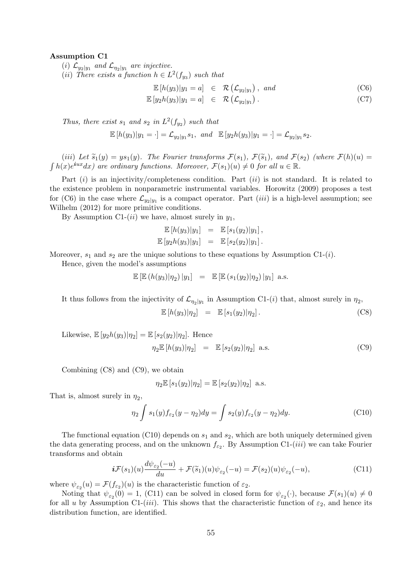#### Assumption C1

(i)  $\mathcal{L}_{y_2|y_1}$  and  $\mathcal{L}_{\eta_2|y_1}$  are injective.

(*ii*) There exists a function  $h \in L^2(f_{y_3})$  such that

$$
\mathbb{E}[h(y_3)|y_1 = a] \in \mathcal{R}(\mathcal{L}_{y_2|y_1}), \text{ and } \qquad \qquad \text{(C6)}
$$
  

$$
\mathbb{E}[y_2h(y_3)|y_1 = a] \in \mathcal{R}(\mathcal{L}_{y_2|y_1}). \qquad \qquad \text{(C7)}
$$

Thus, there exist  $s_1$  and  $s_2$  in  $L^2(f_{y_2})$  such that

$$
\mathbb{E}[h(y_3)|y_1=\cdot] = \mathcal{L}_{y_2|y_1}s_1, \text{ and } \mathbb{E}[y_2h(y_3)|y_1=\cdot] = \mathcal{L}_{y_2|y_1}s_2.
$$

(iii) Let  $\tilde{s}_1(y) = ys_1(y)$ . The Fourier transforms  $\mathcal{F}(s_1)$ ,  $\mathcal{F}(\tilde{s}_1)$ , and  $\mathcal{F}(s_2)$  (where  $\mathcal{F}(h)(u) =$  $\int h(x)e^{iux}dx$  are ordinary functions. Moreover,  $\mathcal{F}(s_1)(u) \neq 0$  for all  $u \in \mathbb{R}$ .

Part  $(i)$  is an injectivity/completeness condition. Part  $(ii)$  is not standard. It is related to the existence problem in nonparametric instrumental variables. Horowitz (2009) proposes a test for (C6) in the case where  $\mathcal{L}_{y_2|y_1}$  is a compact operator. Part *(iii)* is a high-level assumption; see Wilhelm (2012) for more primitive conditions.

By Assumption C1- $(ii)$  we have, almost surely in  $y_1$ ,

$$
\mathbb{E}[h(y_3)|y_1] = \mathbb{E}[s_1(y_2)|y_1], \n\mathbb{E}[y_2h(y_3)|y_1] = \mathbb{E}[s_2(y_2)|y_1].
$$

Moreover,  $s_1$  and  $s_2$  are the unique solutions to these equations by Assumption C1-(*i*).

Hence, given the model's assumptions

$$
\mathbb{E} [\mathbb{E} (h(y_3)|\eta_2) |y_1] = \mathbb{E} [\mathbb{E} (s_1(y_2)|\eta_2) |y_1] \text{ a.s.}
$$

It thus follows from the injectivity of  $\mathcal{L}_{\eta_2|y_1}$  in Assumption C1-(*i*) that, almost surely in  $\eta_2$ ,

$$
\mathbb{E}\left[h(y_3)|\eta_2\right] = \mathbb{E}\left[s_1(y_2)|\eta_2\right].\tag{C8}
$$

Likewise,  $\mathbb{E}[y_2h(y_3)|\eta_2] = \mathbb{E}[s_2(y_2)|\eta_2]$ . Hence

$$
\eta_2 \mathbb{E} [h(y_3)|\eta_2] = \mathbb{E} [s_2(y_2)|\eta_2] \text{ a.s.}
$$
 (C9)

Combining (C8) and (C9), we obtain

$$
\eta_2 \mathbb{E}\left[s_1(y_2)|\eta_2\right] = \mathbb{E}\left[s_2(y_2)|\eta_2\right] \text{ a.s.}
$$

That is, almost surely in  $\eta_2$ ,

$$
\eta_2 \int s_1(y) f_{\varepsilon_2}(y - \eta_2) dy = \int s_2(y) f_{\varepsilon_2}(y - \eta_2) dy. \tag{C10}
$$

The functional equation (C10) depends on  $s_1$  and  $s_2$ , which are both uniquely determined given the data generating process, and on the unknown  $f_{\varepsilon_2}$ . By Assumption C1-(*iii*) we can take Fourier transforms and obtain

$$
\boldsymbol{i} \mathcal{F}(s_1)(u) \frac{d\psi_{\varepsilon_2}(-u)}{du} + \mathcal{F}(\widetilde{s}_1)(u)\psi_{\varepsilon_2}(-u) = \mathcal{F}(s_2)(u)\psi_{\varepsilon_2}(-u), \tag{C11}
$$

where  $\psi_{\varepsilon_2}(u) = \mathcal{F}(f_{\varepsilon_2})(u)$  is the characteristic function of  $\varepsilon_2$ .

Noting that  $\psi_{\varepsilon_2}(0) = 1$ , (C11) can be solved in closed form for  $\psi_{\varepsilon_2}(\cdot)$ , because  $\mathcal{F}(s_1)(u) \neq 0$ for all u by Assumption C1-(iii). This shows that the characteristic function of  $\varepsilon_2$ , and hence its distribution function, are identified.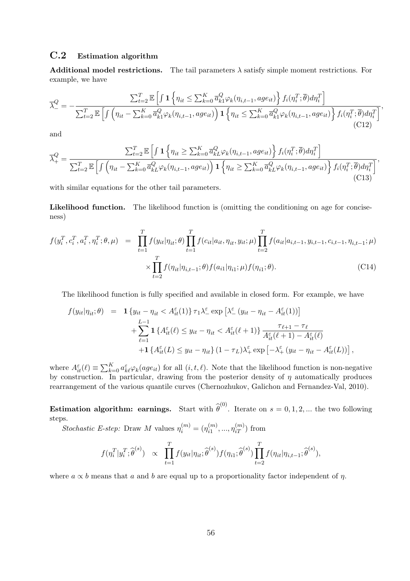#### C.2 Estimation algorithm

**Additional model restrictions.** The tail parameters  $\lambda$  satisfy simple moment restrictions. For example, we have

$$
\overline{\lambda}_{-}^{Q} = -\frac{\sum_{t=2}^{T} \mathbb{E}\left[\int \mathbf{1}\left\{\eta_{it} \le \sum_{k=0}^{K} \overline{a}_{k1}^{Q} \varphi_{k}(\eta_{i,t-1}, age_{it})\right\} f_{i}(\eta_{i}^{T}; \overline{\theta}) d\eta_{i}^{T}\right]}{\sum_{t=2}^{T} \mathbb{E}\left[\int \left(\eta_{it} - \sum_{k=0}^{K} \overline{a}_{k1}^{Q} \varphi_{k}(\eta_{i,t-1}, age_{it})\right) \mathbf{1}\left\{\eta_{it} \le \sum_{k=0}^{K} \overline{a}_{k1}^{Q} \varphi_{k}(\eta_{i,t-1}, age_{it})\right\} f_{i}(\eta_{i}^{T}; \overline{\theta}) d\eta_{i}^{T}\right]},
$$
\n(C12)

and

$$
\overline{\lambda}_{+}^{Q} = \frac{\sum_{t=2}^{T} \mathbb{E}\left[\int \mathbf{1}\left\{\eta_{it} \ge \sum_{k=0}^{K} \overline{a}_{kL}^{Q} \varphi_{k}(\eta_{i,t-1}, age_{it})\right\} f_{i}(\eta_{i}^{T}; \overline{\theta}) d\eta_{i}^{T}\right]}{\sum_{t=2}^{T} \mathbb{E}\left[\int \left(\eta_{it} - \sum_{k=0}^{K} \overline{a}_{kL}^{Q} \varphi_{k}(\eta_{i,t-1}, age_{it})\right) \mathbf{1}\left\{\eta_{it} \ge \sum_{k=0}^{K} \overline{a}_{kL}^{Q} \varphi_{k}(\eta_{i,t-1}, age_{it})\right\} f_{i}(\eta_{i}^{T}; \overline{\theta}) d\eta_{i}^{T}\right]},
$$
\n(C13)

with similar equations for the other tail parameters.

Likelihood function. The likelihood function is (omitting the conditioning on age for conciseness)

$$
f(y_i^T, c_i^T, a_i^T, \eta_i^T; \theta, \mu) = \prod_{t=1}^T f(y_{it} | \eta_{it}; \theta) \prod_{t=1}^T f(c_{it} | a_{it}, \eta_{it}, y_{it}; \mu) \prod_{t=2}^T f(a_{it} | a_{i,t-1}, y_{i,t-1}, c_{i,t-1}, \eta_{i,t-1}; \mu) \times \prod_{t=2}^T f(\eta_{it} | \eta_{i,t-1}; \theta) f(a_{i1} | \eta_{i1}; \mu) f(\eta_{i1}; \theta).
$$
 (C14)

The likelihood function is fully specified and available in closed form. For example, we have

$$
f(y_{it}|\eta_{it};\theta) = \mathbf{1} \{ y_{it} - \eta_{it} < A_{it}^{\varepsilon}(1) \} \tau_1 \lambda_{-}^{\varepsilon} \exp \left[ \lambda_{-}^{\varepsilon} \left( y_{it} - \eta_{it} - A_{it}^{\varepsilon}(1) \right) \right] + \sum_{\ell=1}^{L-1} \mathbf{1} \{ A_{it}^{\varepsilon}(\ell) \leq y_{it} - \eta_{it} < A_{it}^{\varepsilon}(\ell+1) \} \frac{\tau_{\ell+1} - \tau_{\ell}}{A_{it}^{\varepsilon}(\ell+1) - A_{it}^{\varepsilon}(\ell)} + \mathbf{1} \{ A_{it}^{\varepsilon}(L) \leq y_{it} - \eta_{it} \} \left( 1 - \tau_L \right) \lambda_{+}^{\varepsilon} \exp \left[ -\lambda_{+}^{\varepsilon} \left( y_{it} - \eta_{it} - A_{it}^{\varepsilon}(L) \right) \right],
$$

where  $A_{it}^{\varepsilon}(\ell) \equiv \sum_{k=0}^{K} a_{k\ell}^{\varepsilon} \varphi_k(a g e_{it})$  for all  $(i, t, \ell)$ . Note that the likelihood function is non-negative by construction. In particular, drawing from the posterior density of  $\eta$  automatically produces rearrangement of the various quantile curves (Chernozhukov, Galichon and Fernandez-Val, 2010).

**Estimation algorithm: earnings.** Start with  $\hat{\theta}^{(0)}$ . Iterate on  $s = 0, 1, 2, ...$  the two following steps.

Stochastic E-step: Draw M values  $\eta_i^{(m)} = (\eta_{i1}^{(m)}$  $\binom{m}{i1},...,\eta^{(m)}_{iT}$  from

$$
f(\eta_i^T | y_i^T; \widehat{\boldsymbol{\theta}}^{(s)}) \propto \prod_{t=1}^T f(y_{it} | \eta_{it}; \widehat{\boldsymbol{\theta}}^{(s)}) f(\eta_{i1}; \widehat{\boldsymbol{\theta}}^{(s)}) \prod_{t=2}^T f(\eta_{it} | \eta_{i,t-1}; \widehat{\boldsymbol{\theta}}^{(s)}),
$$

where  $a \propto b$  means that a and b are equal up to a proportionality factor independent of  $\eta$ .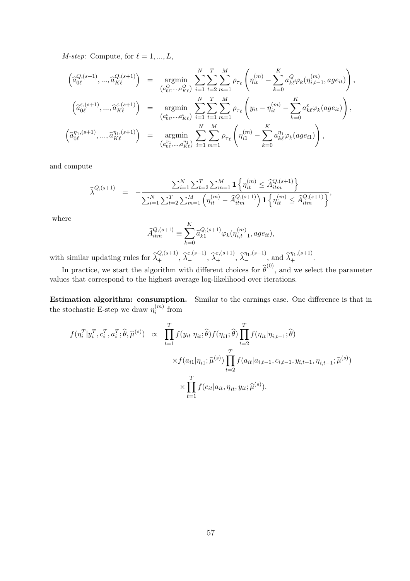*M-step:* Compute, for  $\ell = 1, ..., L$ ,

$$
\begin{array}{rcl}\n\left(\hat{a}_{0\ell}^{Q,(s+1)},...,\hat{a}_{K\ell}^{Q,(s+1)}\right) & = & \underset{\left(a_{0\ell}^{Q},...,a_{K\ell}^{Q}\right)}{\operatorname{argmin}} \sum_{i=1}^{N} \sum_{t=2}^{T} \sum_{m=1}^{M} \rho_{\tau_{\ell}} \left(\eta_{it}^{(m)} - \sum_{k=0}^{K} a_{k\ell}^{Q} \varphi_{k}(\eta_{i,t-1}^{(m)}, a g e_{it})\right), \\
\left(\hat{a}_{0\ell}^{\varepsilon,(s+1)},...,\hat{a}_{K\ell}^{\varepsilon,(s+1)}\right) & = & \underset{\left(a_{0\ell}^{\varepsilon},...,a_{K\ell}^{\varepsilon}\right)}{\operatorname{argmin}} \sum_{i=1}^{N} \sum_{t=1}^{T} \sum_{m=1}^{M} \rho_{\tau_{\ell}} \left(y_{it} - \eta_{it}^{(m)} - \sum_{k=0}^{K} a_{k\ell}^{\varepsilon} \varphi_{k}(a g e_{it})\right), \\
\left(\hat{a}_{0\ell}^{\eta_{1},(s+1)},...,\hat{a}_{K\ell}^{\eta_{1},(s+1)}\right) & = & \underset{\left(a_{0\ell}^{\eta_{1}},...,a_{K\ell}^{\eta_{1}}\right)}{\operatorname{argmin}} \sum_{i=1}^{N} \sum_{m=1}^{M} \rho_{\tau_{\ell}} \left(\eta_{i1}^{(m)} - \sum_{k=0}^{K} a_{k\ell}^{\eta_{1}} \varphi_{k}(a g e_{i1})\right),\n\end{array}
$$

and compute

$$
\widehat{\lambda}_{-}^{Q,(s+1)} = -\frac{\sum_{i=1}^{N} \sum_{t=2}^{T} \sum_{m=1}^{M} \mathbf{1} \left\{ \eta_{it}^{(m)} \leq \widehat{A}_{itm}^{Q,(s+1)} \right\}}{\sum_{i=1}^{N} \sum_{t=2}^{T} \sum_{m=1}^{M} \left( \eta_{it}^{(m)} - \widehat{A}_{itm}^{Q,(s+1)} \right) \mathbf{1} \left\{ \eta_{it}^{(m)} \leq \widehat{A}_{itm}^{Q,(s+1)} \right\}},
$$

where

$$
\widehat{A}_{itm}^{Q,(s+1)} \equiv \sum_{k=0}^{K} \widehat{a}_{k1}^{Q,(s+1)} \varphi_k(\eta_{i,t-1}^{(m)}, age_{it}),
$$

with similar updating rules for  $\widehat{\lambda}_+^{Q,(s+1)}$ ,  $\widehat{\lambda}_-^{\varepsilon,(s+1)}$ ,  $\widehat{\lambda}_+^{\varepsilon,(s+1)}$ ,  $\widehat{\lambda}_-^{\eta_1,(s+1)}$ , and  $\widehat{\lambda}_+^{\eta_1,(s+1)}$ .

In practice, we start the algorithm with different choices for  $\hat{\theta}^{(0)}$ , and we select the parameter values that correspond to the highest average log-likelihood over iterations.

Estimation algorithm: consumption. Similar to the earnings case. One difference is that in the stochastic E-step we draw  $\eta_i^{(m)}$  $i^{(m)}$  from

$$
f(\eta_i^T | y_i^T, c_i^T, a_i^T; \hat{\theta}, \hat{\mu}^{(s)}) \propto \prod_{t=1}^T f(y_{it} | \eta_{it}; \hat{\theta}) f(\eta_{i1}; \hat{\theta}) \prod_{t=2}^T f(\eta_{it} | \eta_{i,t-1}; \hat{\theta})
$$
  

$$
\times f(a_{i1} | \eta_{i1}; \hat{\mu}^{(s)}) \prod_{t=2}^T f(a_{it} | a_{i,t-1}, c_{i,t-1}, y_{i,t-1}, \eta_{i,t-1}; \hat{\mu}^{(s)})
$$
  

$$
\times \prod_{t=1}^T f(c_{it} | a_{it}, \eta_{it}, y_{it}; \hat{\mu}^{(s)}).
$$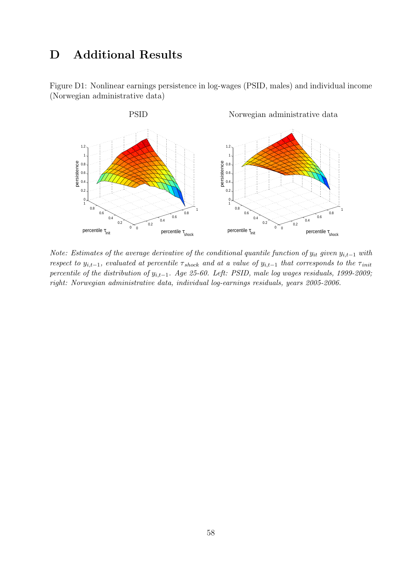## D Additional Results

Figure D1: Nonlinear earnings persistence in log-wages (PSID, males) and individual income (Norwegian administrative data)



Note: Estimates of the average derivative of the conditional quantile function of  $y_{it}$  given  $y_{i,t-1}$  with respect to  $y_{i,t-1}$ , evaluated at percentile  $\tau_{shock}$  and at a value of  $y_{i,t-1}$  that corresponds to the  $\tau_{init}$ percentile of the distribution of  $y_{i,t-1}$ . Age 25-60. Left: PSID, male log wages residuals, 1999-2009; right: Norwegian administrative data, individual log-earnings residuals, years 2005-2006.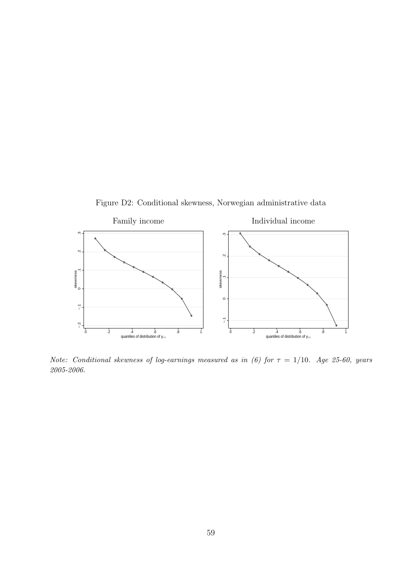Figure D2: Conditional skewness, Norwegian administrative data



Note: Conditional skewness of log-earnings measured as in (6) for  $\tau = 1/10$ . Age 25-60, years 2005-2006.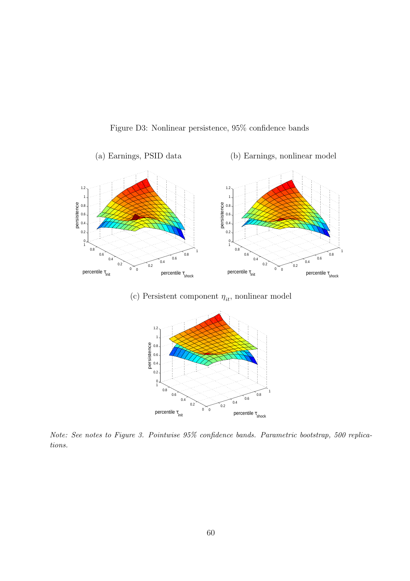Figure D3: Nonlinear persistence, 95% confidence bands



(c) Persistent component  $\eta_{it},$  nonlinear model



Note: See notes to Figure 3. Pointwise 95% confidence bands. Parametric bootstrap, 500 replications.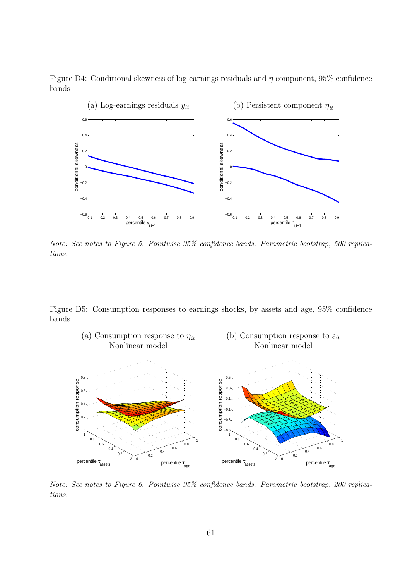Figure D4: Conditional skewness of log-earnings residuals and  $\eta$  component, 95% confidence bands



Note: See notes to Figure 5. Pointwise 95% confidence bands. Parametric bootstrap, 500 replications.

Figure D5: Consumption responses to earnings shocks, by assets and age, 95% confidence bands



Note: See notes to Figure 6. Pointwise 95% confidence bands. Parametric bootstrap, 200 replications.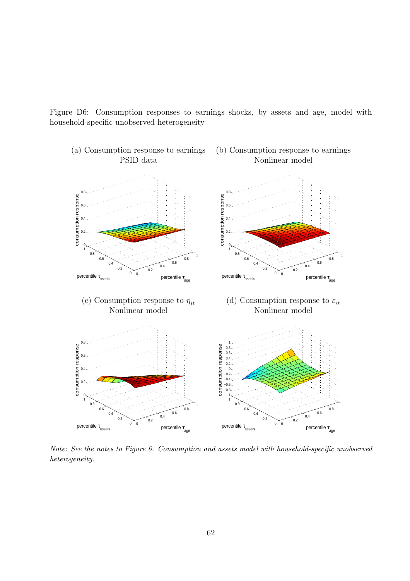Figure D6: Consumption responses to earnings shocks, by assets and age, model with household-specific unobserved heterogeneity



Note: See the notes to Figure 6. Consumption and assets model with household-specific unobserved heterogeneity.